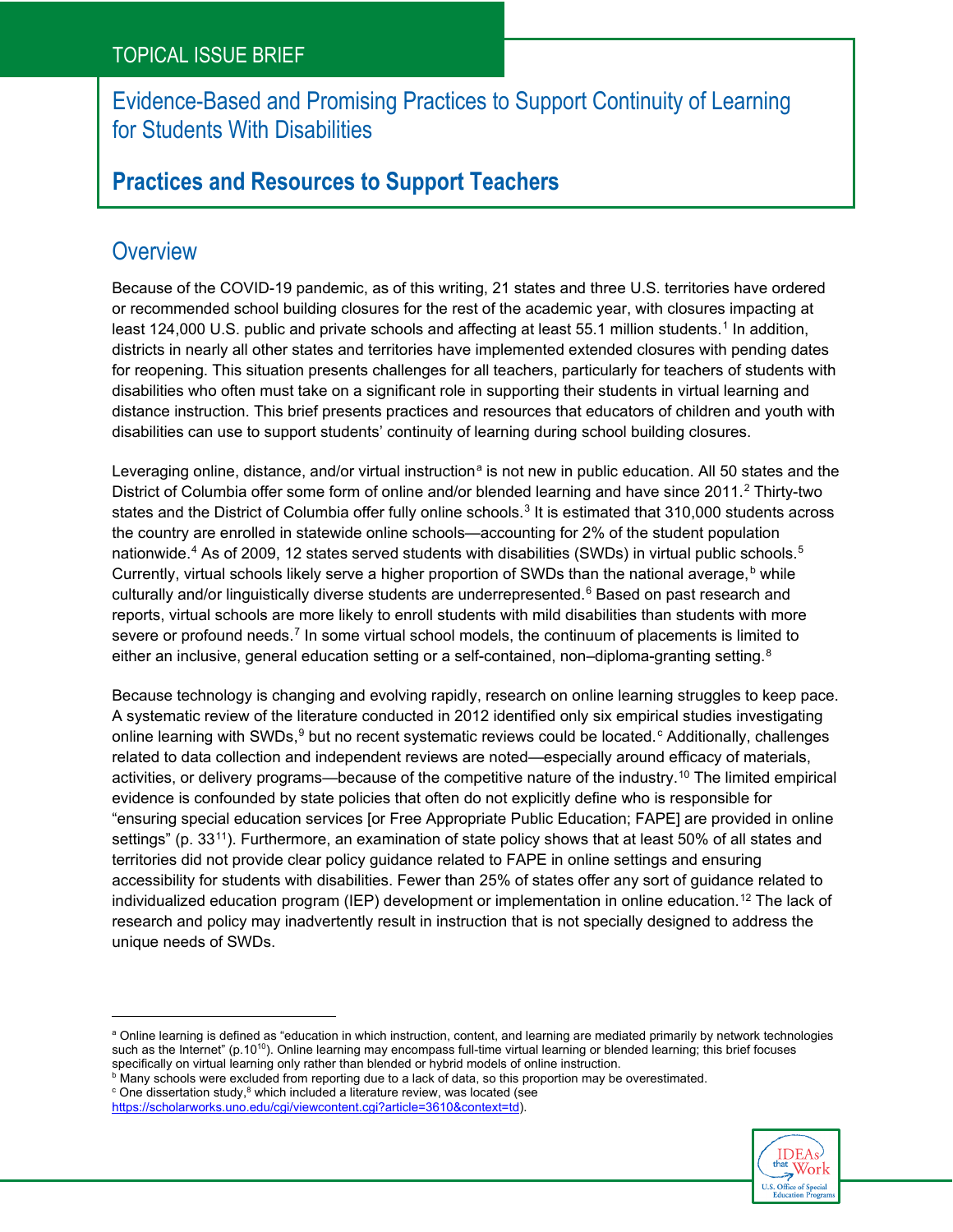## Evidence-Based and Promising Practices to Support Continuity of Learning for Students With Disabilities

# **Practices and Resources to Support Teachers**

# **Overview**

Because of the COVID-19 pandemic, as of this writing, 21 states and three U.S. territories have ordered or recommended school building closures for the rest of the academic year, with closures impacting at least [1](#page-20-0)24,000 U.S. public and private schools and affecting at least 55.1 million students.<sup>1</sup> In addition, districts in nearly all other states and territories have implemented extended closures with pending dates for reopening. This situation presents challenges for all teachers, particularly for teachers of students with disabilities who often must take on a significant role in supporting their students in virtual learning and distance instruction. This brief presents practices and resources that educators of children and youth with disabilities can use to support students' continuity of learning during school building closures.

Leveraging online, distance, and/or virtual instruction<sup>a</sup> is not new in public education. All 50 states and the District of Columbia offer some form of online and/or blended learning and have since 2011.[2](#page-20-1) Thirty-two states and the District of Columbia offer fully online schools. $^3$  $^3$  It is estimated that 310,000 students across the country are enrolled in statewide online schools—accounting for 2% of the student population nationwide. [4](#page-20-3) As of 2009, 12 states served students with disabilities (SWDs) in virtual public schools. [5](#page-20-4) Currently, virtual schools likely serve a higher proportion of SWDs than the national average, **b** while culturally and/or linguistically diverse students are underrepresented. [6](#page-20-5) Based on past research and reports, virtual schools are more likely to enroll students with mild disabilities than students with more severe or profound needs.<sup>[7](#page-20-6)</sup> In some virtual school models, the continuum of placements is limited to either an inclusive, general education setting or a self-contained, non–diploma-granting setting.<sup>8</sup>

Because technology is changing and evolving rapidly, research on online learning struggles to keep pace. A systematic review of the literature conducted in 2012 identified only six empirical studies investigating online learning with SWDs, $^9$  $^9$  but no recent systemati[c](#page-0-2) reviews could be located. $^{\rm c}$  Additionally, challenges related to data collection and independent reviews are noted—especially around efficacy of materials, activities, or delivery programs—because of the competitive nature of the industry. [10](#page-20-9) The limited empirical evidence is confounded by state policies that often do not explicitly define who is responsible for "ensuring special education services [or Free Appropriate Public Education; FAPE] are provided in online settings" (p. 33<sup>11</sup>). Furthermore, an examination of state policy shows that at least 50% of all states and territories did not provide clear policy guidance related to FAPE in online settings and ensuring accessibility for students with disabilities. Fewer than 25% of states offer any sort of guidance related to individualized education program (IEP) development or implementation in online education. [12](#page-20-11) The lack of research and policy may inadvertently result in instruction that is not specially designed to address the unique needs of SWDs.



<span id="page-0-0"></span>a Online learning is defined as "education in which instruction, content, and learning are mediated primarily by network technologies such as the Internet" (p.10<sup>10</sup>). Online learning may encompass full-time virtual learning or blended learning; this brief focuses specifically on virtual learning only rather than blended or hybrid models of online instruction.

<span id="page-0-1"></span> $^{\rm b}$  Many schools were excluded from reporting due to a lack of data, so this proportion may be overestimated.

<span id="page-0-2"></span> $\textdegree$  One dissertation study, $\textdegree$  which included a literature review, was located (see [https://scholarworks.uno.edu/cgi/viewcontent.cgi?article=3610&context=td\)](https://scholarworks.uno.edu/cgi/viewcontent.cgi?article=3610&context=td).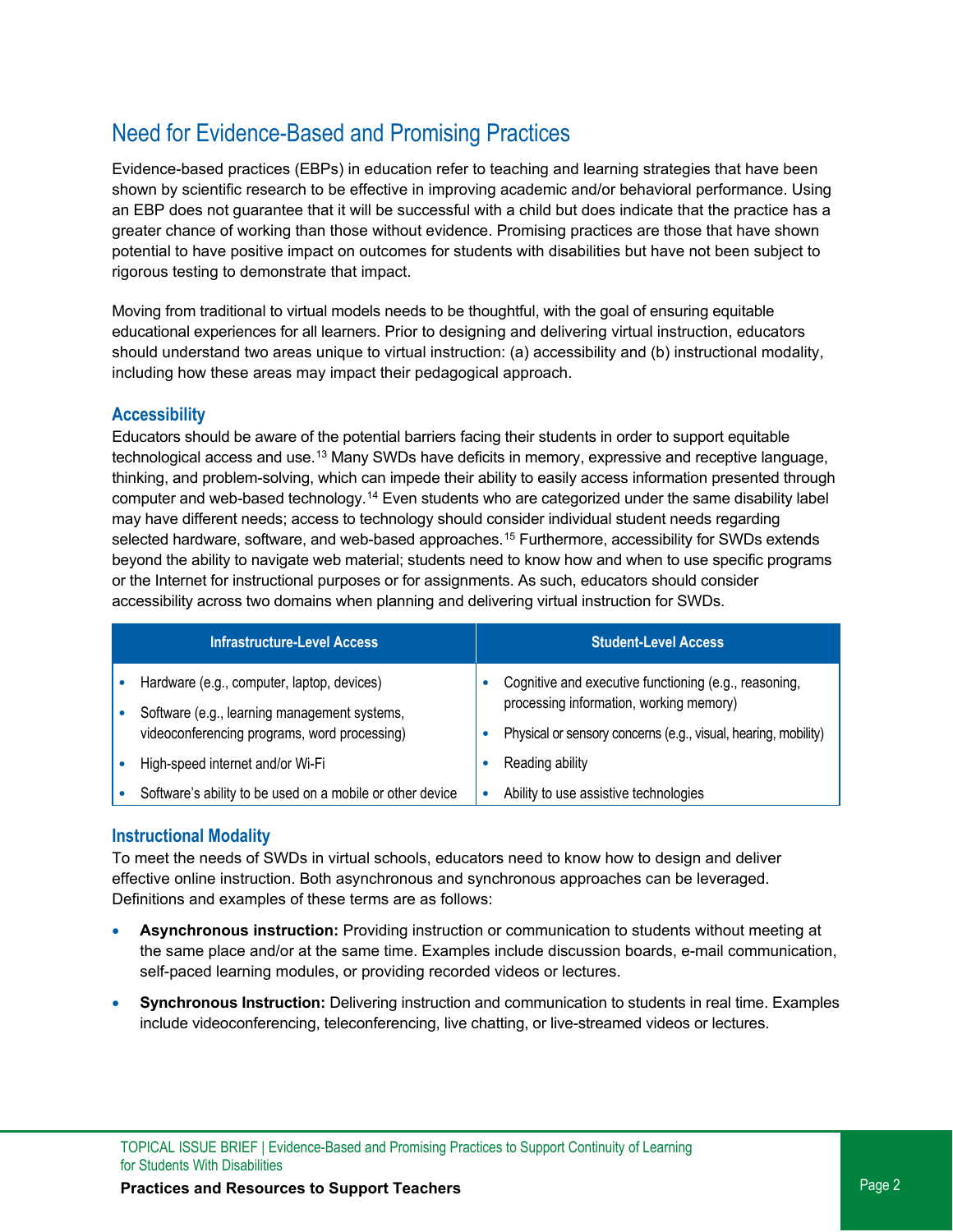# Need for Evidence-Based and Promising Practices

Evidence-based practices (EBPs) in education refer to teaching and learning strategies that have been shown by scientific research to be effective in improving academic and/or behavioral performance. Using an EBP does not guarantee that it will be successful with a child but does indicate that the practice has a greater chance of working than those without evidence. Promising practices are those that have shown potential to have positive impact on outcomes for students with disabilities but have not been subject to rigorous testing to demonstrate that impact.

Moving from traditional to virtual models needs to be thoughtful, with the goal of ensuring equitable educational experiences for all learners. Prior to designing and delivering virtual instruction, educators should understand two areas unique to virtual instruction: (a) accessibility and (b) instructional modality, including how these areas may impact their pedagogical approach.

### **Accessibility**

Educators should be aware of the potential barriers facing their students in order to support equitable technological access and use.<sup>[13](#page-20-12)</sup> Many SWDs have deficits in memory, expressive and receptive language, thinking, and problem-solving, which can impede their ability to easily access information presented through computer and web-based technology.<sup>[14](#page-21-0)</sup> Even students who are categorized under the same disability label may have different needs; access to technology should consider individual student needs regarding selected hardware, software, and web-based approaches. [15](#page-21-1) Furthermore, accessibility for SWDs extends beyond the ability to navigate web material; students need to know how and when to use specific programs or the Internet for instructional purposes or for assignments. As such, educators should consider accessibility across two domains when planning and delivering virtual instruction for SWDs.

| <b>Infrastructure-Level Access</b>                                                         | <b>Student-Level Access</b>                                                                      |
|--------------------------------------------------------------------------------------------|--------------------------------------------------------------------------------------------------|
| Hardware (e.g., computer, laptop, devices)<br>Software (e.g., learning management systems, | Cognitive and executive functioning (e.g., reasoning,<br>processing information, working memory) |
| videoconferencing programs, word processing)                                               | Physical or sensory concerns (e.g., visual, hearing, mobility)                                   |
| High-speed internet and/or Wi-Fi                                                           | Reading ability                                                                                  |
| Software's ability to be used on a mobile or other device                                  | Ability to use assistive technologies                                                            |

### **Instructional Modality**

To meet the needs of SWDs in virtual schools, educators need to know how to design and deliver effective online instruction. Both asynchronous and synchronous approaches can be leveraged. Definitions and examples of these terms are as follows:

- **Asynchronous instruction:** Providing instruction or communication to students without meeting at the same place and/or at the same time. Examples include discussion boards, e-mail communication, self-paced learning modules, or providing recorded videos or lectures.
- **Synchronous Instruction:** Delivering instruction and communication to students in real time. Examples include videoconferencing, teleconferencing, live chatting, or live-streamed videos or lectures.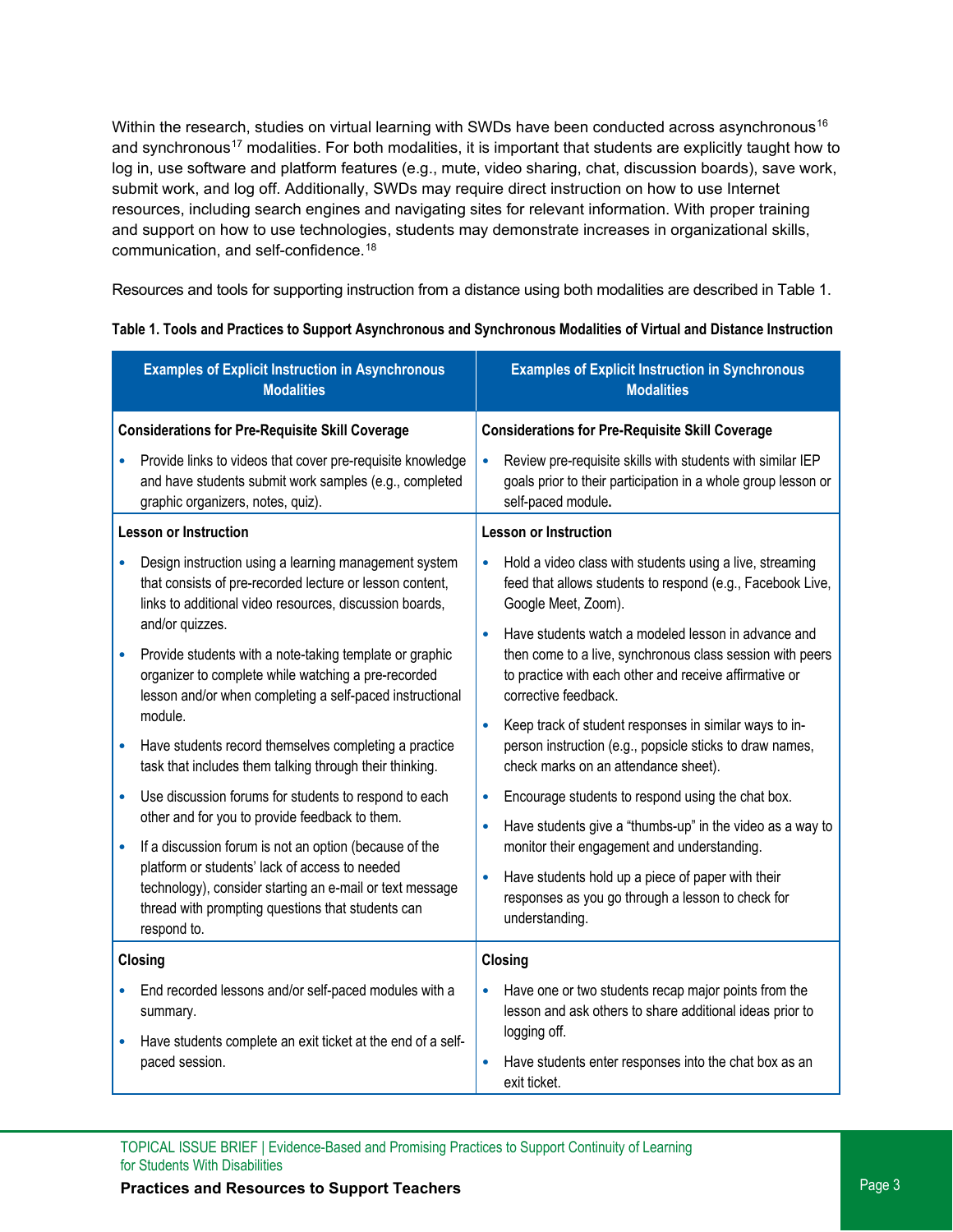Within the research, studies on virtual learning with SWDs have been conducted across asynchronous<sup>[16](#page-21-2)</sup> and synchronous<sup>[17](#page-21-3)</sup> modalities. For both modalities, it is important that students are explicitly taught how to log in, use software and platform features (e.g., mute, video sharing, chat, discussion boards), save work, submit work, and log off. Additionally, SWDs may require direct instruction on how to use Internet resources, including search engines and navigating sites for relevant information. With proper training and support on how to use technologies, students may demonstrate increases in organizational skills, communication, and self-confidence. [18](#page-21-4)

Resources and tools for supporting instruction from a distance using both modalities are described in Table 1.

| <b>Examples of Explicit Instruction in Asynchronous</b><br><b>Modalities</b>                                                                                                                    | <b>Examples of Explicit Instruction in Synchronous</b><br><b>Modalities</b>                                                                                                                                     |
|-------------------------------------------------------------------------------------------------------------------------------------------------------------------------------------------------|-----------------------------------------------------------------------------------------------------------------------------------------------------------------------------------------------------------------|
| <b>Considerations for Pre-Requisite Skill Coverage</b>                                                                                                                                          | <b>Considerations for Pre-Requisite Skill Coverage</b>                                                                                                                                                          |
| Provide links to videos that cover pre-requisite knowledge<br>and have students submit work samples (e.g., completed<br>graphic organizers, notes, quiz).                                       | $\bullet$<br>Review pre-requisite skills with students with similar IEP<br>goals prior to their participation in a whole group lesson or<br>self-paced module.                                                  |
| <b>Lesson or Instruction</b>                                                                                                                                                                    | <b>Lesson or Instruction</b>                                                                                                                                                                                    |
| Design instruction using a learning management system<br>that consists of pre-recorded lecture or lesson content,<br>links to additional video resources, discussion boards,<br>and/or quizzes. | Hold a video class with students using a live, streaming<br>$\bullet$<br>feed that allows students to respond (e.g., Facebook Live,<br>Google Meet, Zoom).                                                      |
| Provide students with a note-taking template or graphic<br>organizer to complete while watching a pre-recorded<br>lesson and/or when completing a self-paced instructional<br>module.           | Have students watch a modeled lesson in advance and<br>$\bullet$<br>then come to a live, synchronous class session with peers<br>to practice with each other and receive affirmative or<br>corrective feedback. |
| Have students record themselves completing a practice<br>task that includes them talking through their thinking.                                                                                | $\bullet$<br>Keep track of student responses in similar ways to in-<br>person instruction (e.g., popsicle sticks to draw names,<br>check marks on an attendance sheet).                                         |
| Use discussion forums for students to respond to each<br>other and for you to provide feedback to them.                                                                                         | Encourage students to respond using the chat box.<br>$\bullet$<br>Have students give a "thumbs-up" in the video as a way to<br>$\bullet$                                                                        |
| If a discussion forum is not an option (because of the                                                                                                                                          | monitor their engagement and understanding.                                                                                                                                                                     |
| platform or students' lack of access to needed<br>technology), consider starting an e-mail or text message<br>thread with prompting questions that students can<br>respond to.                  | Have students hold up a piece of paper with their<br>$\bullet$<br>responses as you go through a lesson to check for<br>understanding.                                                                           |
| Closing                                                                                                                                                                                         | <b>Closing</b>                                                                                                                                                                                                  |
| End recorded lessons and/or self-paced modules with a<br>summary.                                                                                                                               | Have one or two students recap major points from the<br>$\bullet$<br>lesson and ask others to share additional ideas prior to<br>logging off.                                                                   |
| Have students complete an exit ticket at the end of a self-<br>paced session.                                                                                                                   | Have students enter responses into the chat box as an<br>$\bullet$<br>exit ticket.                                                                                                                              |

TOPICAL ISSUE BRIEF | Evidence-Based and Promising Practices to Support Continuity of Learning for Students With Disabilities

## **Practices and Resources to Support Teachers Properties Access 20 Aproximate Page 3** Page 3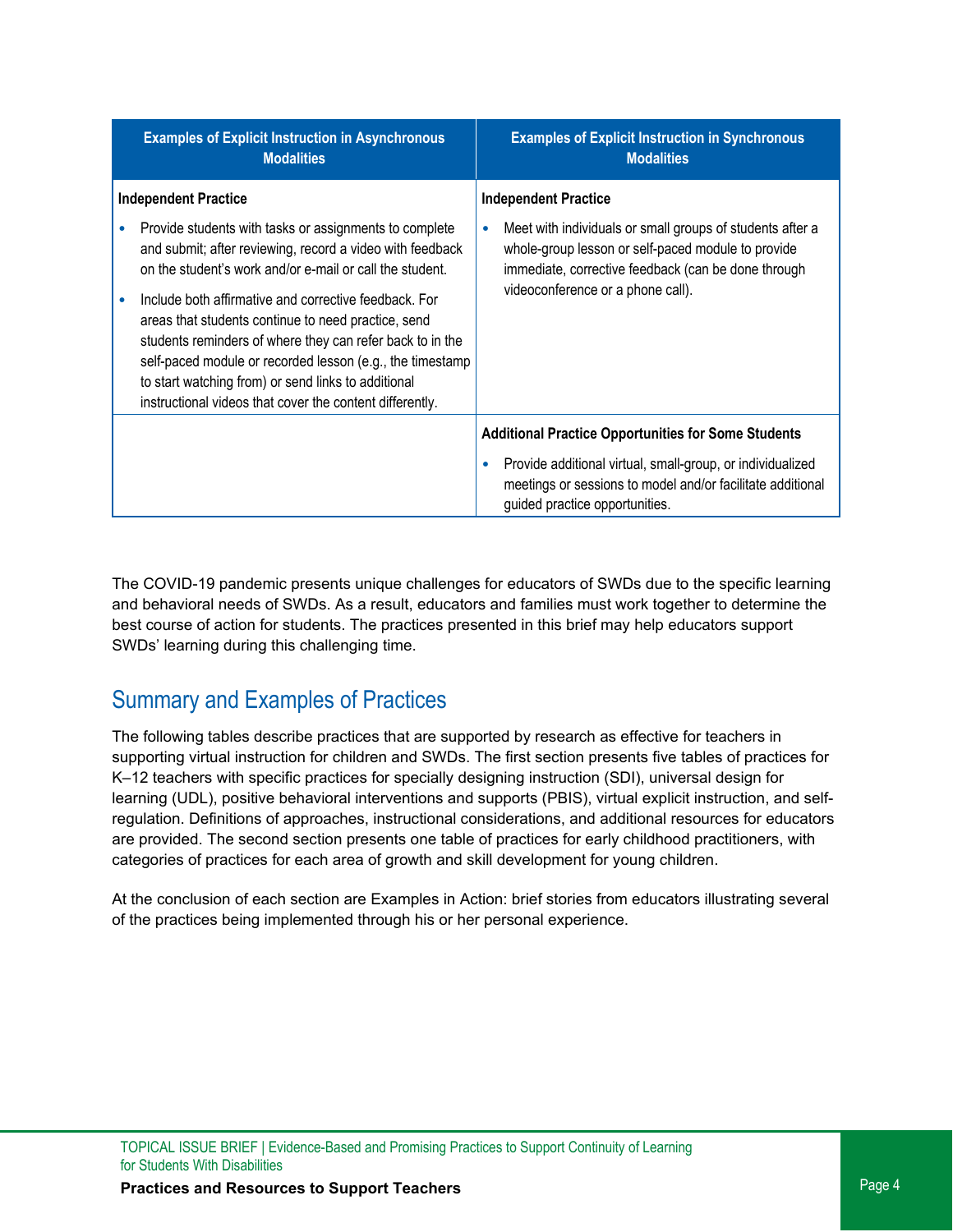| <b>Examples of Explicit Instruction in Asynchronous</b><br><b>Modalities</b>                                                                                                                                                                                                                                                                                                                                                                                                                                                                 |           | <b>Examples of Explicit Instruction in Synchronous</b><br><b>Modalities</b>                                                                                                                                 |
|----------------------------------------------------------------------------------------------------------------------------------------------------------------------------------------------------------------------------------------------------------------------------------------------------------------------------------------------------------------------------------------------------------------------------------------------------------------------------------------------------------------------------------------------|-----------|-------------------------------------------------------------------------------------------------------------------------------------------------------------------------------------------------------------|
| <b>Independent Practice</b>                                                                                                                                                                                                                                                                                                                                                                                                                                                                                                                  |           | <b>Independent Practice</b>                                                                                                                                                                                 |
| Provide students with tasks or assignments to complete<br>and submit; after reviewing, record a video with feedback<br>on the student's work and/or e-mail or call the student.<br>Include both affirmative and corrective feedback. For<br>areas that students continue to need practice, send<br>students reminders of where they can refer back to in the<br>self-paced module or recorded lesson (e.g., the timestamp<br>to start watching from) or send links to additional<br>instructional videos that cover the content differently. | $\bullet$ | Meet with individuals or small groups of students after a<br>whole-group lesson or self-paced module to provide<br>immediate, corrective feedback (can be done through<br>videoconference or a phone call). |
|                                                                                                                                                                                                                                                                                                                                                                                                                                                                                                                                              |           | <b>Additional Practice Opportunities for Some Students</b>                                                                                                                                                  |
|                                                                                                                                                                                                                                                                                                                                                                                                                                                                                                                                              |           | Provide additional virtual, small-group, or individualized<br>meetings or sessions to model and/or facilitate additional<br>guided practice opportunities.                                                  |

The COVID-19 pandemic presents unique challenges for educators of SWDs due to the specific learning and behavioral needs of SWDs. As a result, educators and families must work together to determine the best course of action for students. The practices presented in this brief may help educators support SWDs' learning during this challenging time.

# Summary and Examples of Practices

The following tables describe practices that are supported by research as effective for teachers in supporting virtual instruction for children and SWDs. The first section presents five tables of practices for K–12 teachers with specific practices for specially designing instruction (SDI), universal design for learning (UDL), positive behavioral interventions and supports (PBIS), virtual explicit instruction, and selfregulation. Definitions of approaches, instructional considerations, and additional resources for educators are provided. The second section presents one table of practices for early childhood practitioners, with categories of practices for each area of growth and skill development for young children.

At the conclusion of each section are Examples in Action: brief stories from educators illustrating several of the practices being implemented through his or her personal experience.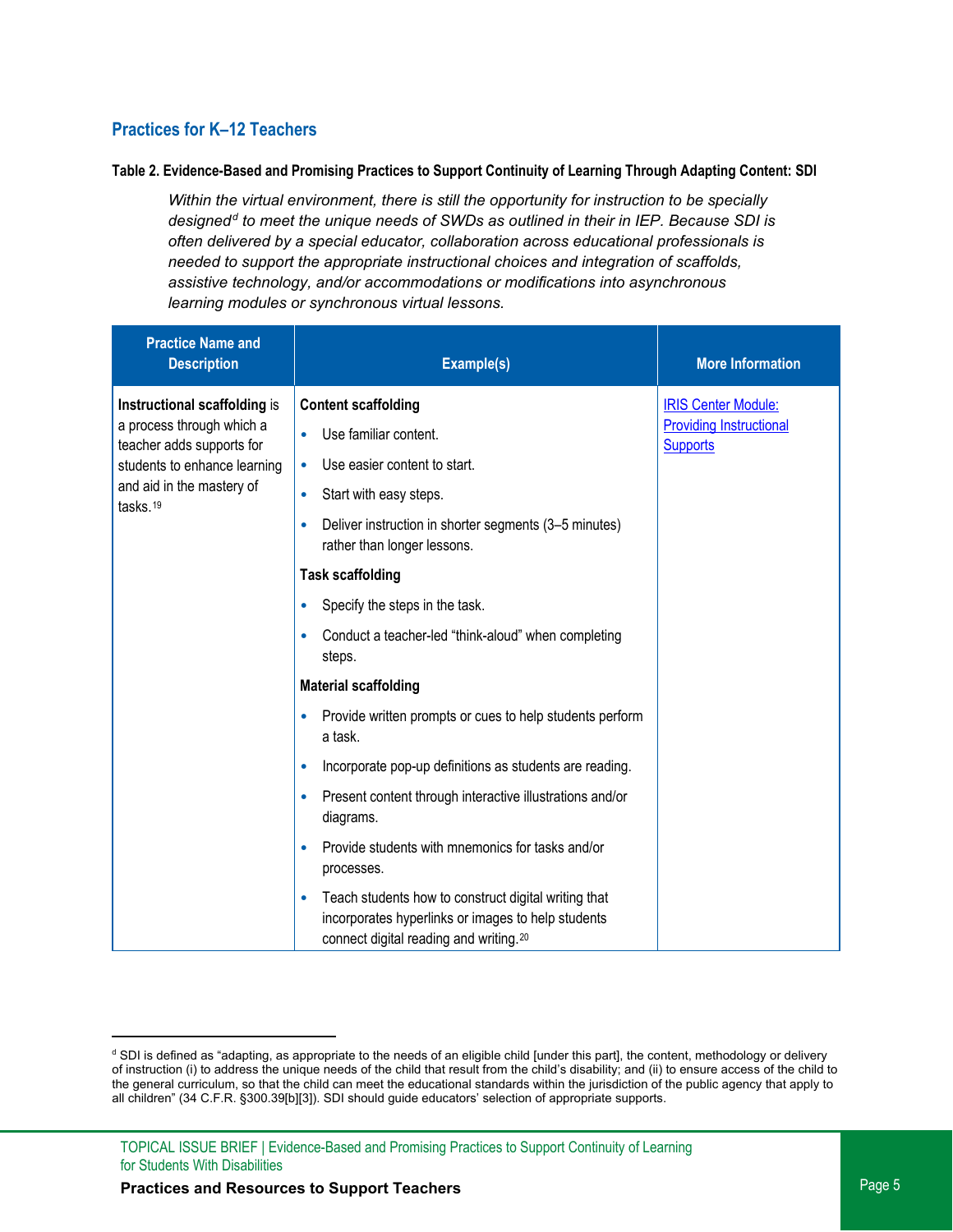## **Practices for K–12 Teachers**

#### **Table 2. Evidence-Based and Promising Practices to Support Continuity of Learning Through Adapting Content: SDI**

*Within the virtual environment, there is still the opportunity for instruction to be specially designed[d](#page-4-0) to meet the unique needs of SWDs as outlined in their in IEP. Because SDI is often delivered by a special educator, collaboration across educational professionals is needed to support the appropriate instructional choices and integration of scaffolds, assistive technology, and/or accommodations or modifications into asynchronous learning modules or synchronous virtual lessons.* 

| <b>Practice Name and</b><br><b>Description</b>         | Example(s)                                                                                                                                                                    | <b>More Information</b>                           |
|--------------------------------------------------------|-------------------------------------------------------------------------------------------------------------------------------------------------------------------------------|---------------------------------------------------|
| Instructional scaffolding is                           | <b>Content scaffolding</b>                                                                                                                                                    | <b>IRIS Center Module:</b>                        |
| a process through which a<br>teacher adds supports for | Use familiar content.<br>$\bullet$                                                                                                                                            | <b>Providing Instructional</b><br><b>Supports</b> |
| students to enhance learning                           | Use easier content to start.<br>$\bullet$                                                                                                                                     |                                                   |
| and aid in the mastery of<br>tasks. <sup>19</sup>      | Start with easy steps.<br>$\bullet$                                                                                                                                           |                                                   |
|                                                        | Deliver instruction in shorter segments (3–5 minutes)<br>$\bullet$<br>rather than longer lessons.                                                                             |                                                   |
|                                                        | <b>Task scaffolding</b>                                                                                                                                                       |                                                   |
|                                                        | Specify the steps in the task.<br>۰                                                                                                                                           |                                                   |
|                                                        | Conduct a teacher-led "think-aloud" when completing<br>۰<br>steps.                                                                                                            |                                                   |
|                                                        | <b>Material scaffolding</b>                                                                                                                                                   |                                                   |
|                                                        | Provide written prompts or cues to help students perform<br>$\bullet$<br>a task.                                                                                              |                                                   |
|                                                        | Incorporate pop-up definitions as students are reading.<br>$\bullet$                                                                                                          |                                                   |
|                                                        | Present content through interactive illustrations and/or<br>$\bullet$<br>diagrams.                                                                                            |                                                   |
|                                                        | Provide students with mnemonics for tasks and/or<br>$\bullet$<br>processes.                                                                                                   |                                                   |
|                                                        | Teach students how to construct digital writing that<br>$\bullet$<br>incorporates hyperlinks or images to help students<br>connect digital reading and writing. <sup>20</sup> |                                                   |

<span id="page-4-0"></span><sup>&</sup>lt;sup>d</sup> SDI is defined as "adapting, as appropriate to the needs of an eligible child [under this part], the content, methodology or delivery of instruction (i) to address the unique needs of the child that result from the child's disability; and (ii) to ensure access of the child to the general curriculum, so that the child can meet the educational standards within the jurisdiction of the public agency that apply to all children" (34 C.F.R. §300.39[b][3]). SDI should guide educators' selection of appropriate supports.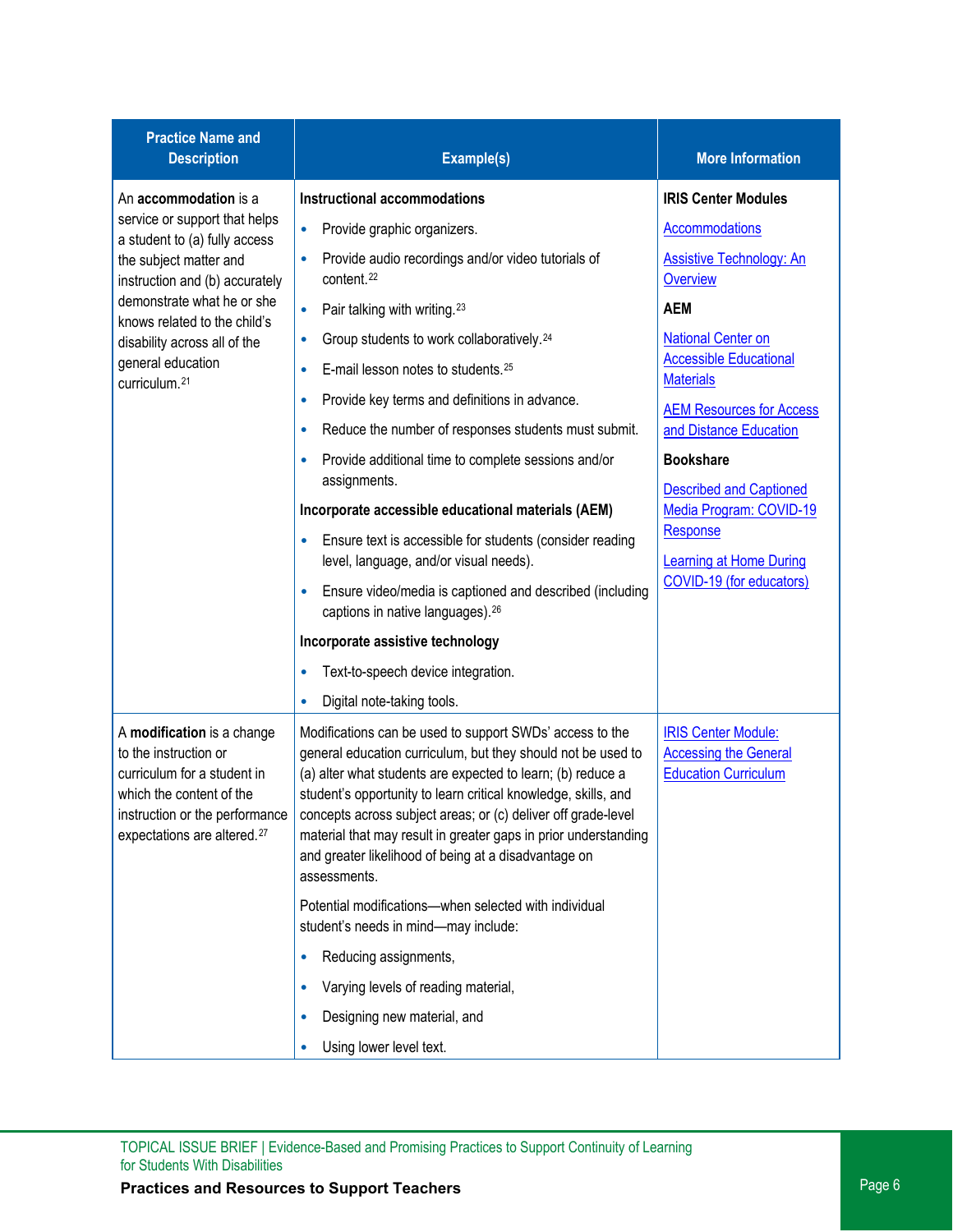| <b>Practice Name and</b><br><b>Description</b>                                                                                                                                              | Example(s)                                                                                                                                                                                                                                                                                                                                                                                                                                                            | <b>More Information</b>                                                                   |
|---------------------------------------------------------------------------------------------------------------------------------------------------------------------------------------------|-----------------------------------------------------------------------------------------------------------------------------------------------------------------------------------------------------------------------------------------------------------------------------------------------------------------------------------------------------------------------------------------------------------------------------------------------------------------------|-------------------------------------------------------------------------------------------|
| An accommodation is a                                                                                                                                                                       | <b>Instructional accommodations</b>                                                                                                                                                                                                                                                                                                                                                                                                                                   | <b>IRIS Center Modules</b>                                                                |
| service or support that helps<br>a student to (a) fully access                                                                                                                              | Provide graphic organizers.<br>$\bullet$                                                                                                                                                                                                                                                                                                                                                                                                                              | <b>Accommodations</b>                                                                     |
| the subject matter and<br>instruction and (b) accurately                                                                                                                                    | Provide audio recordings and/or video tutorials of<br>$\bullet$<br>content. <sup>22</sup>                                                                                                                                                                                                                                                                                                                                                                             | Assistive Technology: An<br><b>Overview</b>                                               |
| demonstrate what he or she<br>knows related to the child's                                                                                                                                  | Pair talking with writing. <sup>23</sup><br>$\bullet$                                                                                                                                                                                                                                                                                                                                                                                                                 | <b>AEM</b>                                                                                |
| disability across all of the                                                                                                                                                                | Group students to work collaboratively. <sup>24</sup><br>$\bullet$                                                                                                                                                                                                                                                                                                                                                                                                    | <b>National Center on</b>                                                                 |
| general education<br>curriculum. <sup>21</sup>                                                                                                                                              | E-mail lesson notes to students. <sup>25</sup>                                                                                                                                                                                                                                                                                                                                                                                                                        | <b>Accessible Educational</b><br><b>Materials</b>                                         |
|                                                                                                                                                                                             | Provide key terms and definitions in advance.<br>$\bullet$                                                                                                                                                                                                                                                                                                                                                                                                            | <b>AEM Resources for Access</b>                                                           |
|                                                                                                                                                                                             | Reduce the number of responses students must submit.<br>$\bullet$                                                                                                                                                                                                                                                                                                                                                                                                     | and Distance Education                                                                    |
|                                                                                                                                                                                             | Provide additional time to complete sessions and/or                                                                                                                                                                                                                                                                                                                                                                                                                   | <b>Bookshare</b>                                                                          |
|                                                                                                                                                                                             | assignments.                                                                                                                                                                                                                                                                                                                                                                                                                                                          | <b>Described and Captioned</b>                                                            |
|                                                                                                                                                                                             | Incorporate accessible educational materials (AEM)                                                                                                                                                                                                                                                                                                                                                                                                                    | Media Program: COVID-19<br>Response                                                       |
|                                                                                                                                                                                             | Ensure text is accessible for students (consider reading<br>level, language, and/or visual needs).                                                                                                                                                                                                                                                                                                                                                                    | <b>Learning at Home During</b>                                                            |
|                                                                                                                                                                                             | Ensure video/media is captioned and described (including<br>captions in native languages). <sup>26</sup>                                                                                                                                                                                                                                                                                                                                                              | COVID-19 (for educators)                                                                  |
|                                                                                                                                                                                             | Incorporate assistive technology                                                                                                                                                                                                                                                                                                                                                                                                                                      |                                                                                           |
|                                                                                                                                                                                             | Text-to-speech device integration.<br>٠                                                                                                                                                                                                                                                                                                                                                                                                                               |                                                                                           |
|                                                                                                                                                                                             | Digital note-taking tools.<br>$\bullet$                                                                                                                                                                                                                                                                                                                                                                                                                               |                                                                                           |
| A modification is a change<br>to the instruction or<br>curriculum for a student in<br>which the content of the<br>instruction or the performance<br>expectations are altered. <sup>27</sup> | Modifications can be used to support SWDs' access to the<br>general education curriculum, but they should not be used to<br>(a) alter what students are expected to learn; (b) reduce a<br>student's opportunity to learn critical knowledge, skills, and<br>concepts across subject areas; or (c) deliver off grade-level<br>material that may result in greater gaps in prior understanding<br>and greater likelihood of being at a disadvantage on<br>assessments. | <b>IRIS Center Module:</b><br><b>Accessing the General</b><br><b>Education Curriculum</b> |
|                                                                                                                                                                                             | Potential modifications-when selected with individual<br>student's needs in mind-may include:                                                                                                                                                                                                                                                                                                                                                                         |                                                                                           |
|                                                                                                                                                                                             | Reducing assignments,                                                                                                                                                                                                                                                                                                                                                                                                                                                 |                                                                                           |
|                                                                                                                                                                                             | Varying levels of reading material,                                                                                                                                                                                                                                                                                                                                                                                                                                   |                                                                                           |
|                                                                                                                                                                                             | Designing new material, and                                                                                                                                                                                                                                                                                                                                                                                                                                           |                                                                                           |
|                                                                                                                                                                                             | Using lower level text.                                                                                                                                                                                                                                                                                                                                                                                                                                               |                                                                                           |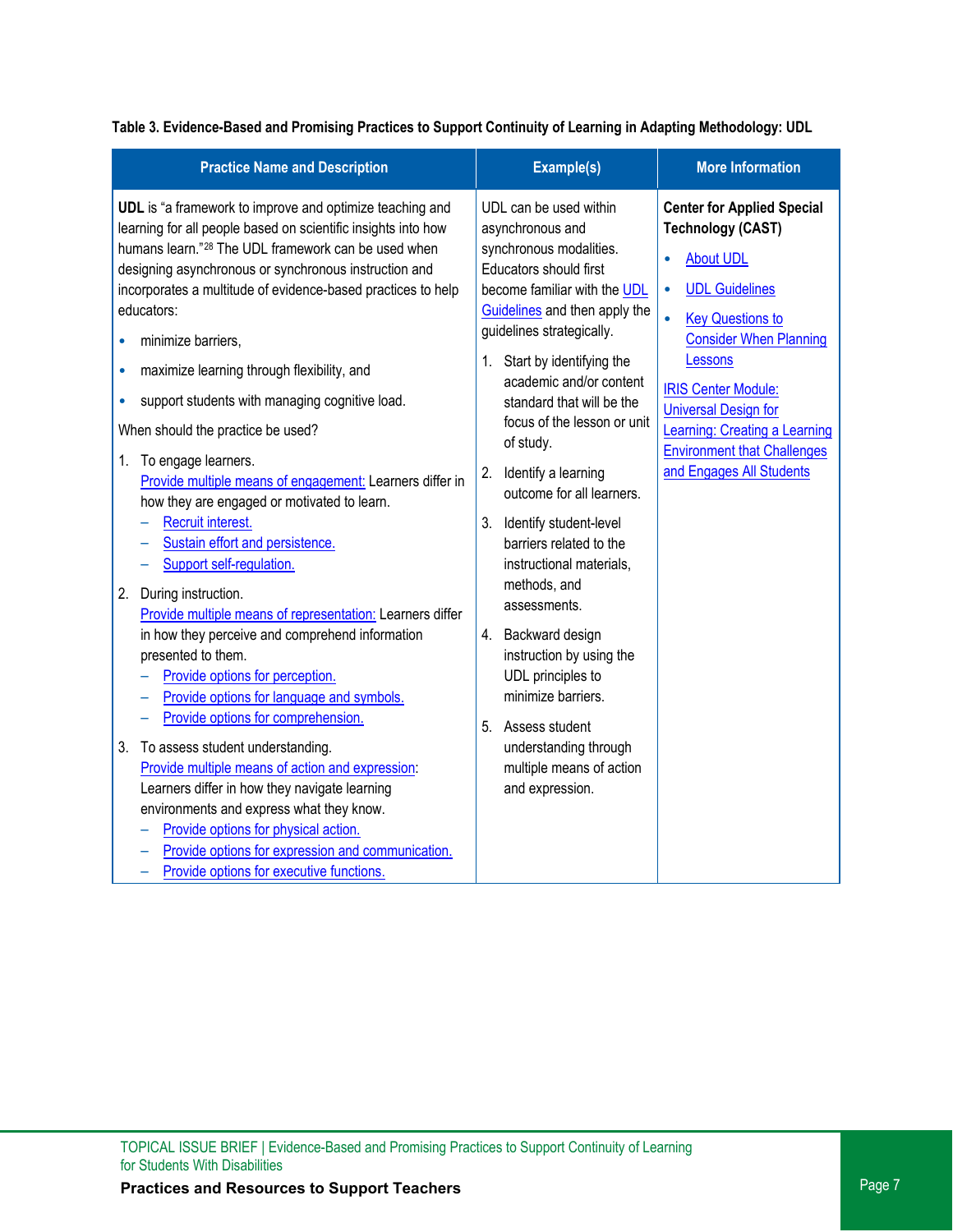| <b>Practice Name and Description</b>                                                                                                                                                                                                                                                                                                                                                                                                                                                                                                                                                                                                                                                                                                                                                                                                                                                                                                                                                                                                                                                                                                                                                                                                                                                                                                                                | Example(s)                                                                                                                                                                                                                                                                                                                                                                                                                                                                                                                                                                                                                                                                                            | <b>More Information</b>                                                                                                                                                                                                                                                                                                                           |
|---------------------------------------------------------------------------------------------------------------------------------------------------------------------------------------------------------------------------------------------------------------------------------------------------------------------------------------------------------------------------------------------------------------------------------------------------------------------------------------------------------------------------------------------------------------------------------------------------------------------------------------------------------------------------------------------------------------------------------------------------------------------------------------------------------------------------------------------------------------------------------------------------------------------------------------------------------------------------------------------------------------------------------------------------------------------------------------------------------------------------------------------------------------------------------------------------------------------------------------------------------------------------------------------------------------------------------------------------------------------|-------------------------------------------------------------------------------------------------------------------------------------------------------------------------------------------------------------------------------------------------------------------------------------------------------------------------------------------------------------------------------------------------------------------------------------------------------------------------------------------------------------------------------------------------------------------------------------------------------------------------------------------------------------------------------------------------------|---------------------------------------------------------------------------------------------------------------------------------------------------------------------------------------------------------------------------------------------------------------------------------------------------------------------------------------------------|
| UDL is "a framework to improve and optimize teaching and<br>learning for all people based on scientific insights into how<br>humans learn." <sup>28</sup> The UDL framework can be used when<br>designing asynchronous or synchronous instruction and<br>incorporates a multitude of evidence-based practices to help<br>educators:<br>minimize barriers,<br>maximize learning through flexibility, and<br>$\bullet$<br>support students with managing cognitive load.<br>۰<br>When should the practice be used?<br>1. To engage learners.<br>Provide multiple means of engagement: Learners differ in<br>how they are engaged or motivated to learn.<br>Recruit interest.<br>Sustain effort and persistence.<br>Support self-regulation.<br>2. During instruction.<br>Provide multiple means of representation: Learners differ<br>in how they perceive and comprehend information<br>presented to them.<br>Provide options for perception.<br>Provide options for language and symbols.<br>Provide options for comprehension.<br>3.<br>To assess student understanding.<br>Provide multiple means of action and expression:<br>Learners differ in how they navigate learning<br>environments and express what they know.<br>Provide options for physical action.<br>Provide options for expression and communication.<br>Provide options for executive functions. | UDL can be used within<br>asynchronous and<br>synchronous modalities.<br>Educators should first<br>become familiar with the UDL<br>Guidelines and then apply the<br>guidelines strategically.<br>1. Start by identifying the<br>academic and/or content<br>standard that will be the<br>focus of the lesson or unit<br>of study.<br>2. Identify a learning<br>outcome for all learners.<br>3. Identify student-level<br>barriers related to the<br>instructional materials,<br>methods, and<br>assessments.<br>4. Backward design<br>instruction by using the<br>UDL principles to<br>minimize barriers.<br>5. Assess student<br>understanding through<br>multiple means of action<br>and expression. | <b>Center for Applied Special</b><br><b>Technology (CAST)</b><br><b>About UDL</b><br><b>UDL Guidelines</b><br><b>Key Questions to</b><br><b>Consider When Planning</b><br>Lessons<br><b>IRIS Center Module:</b><br><b>Universal Design for</b><br>Learning: Creating a Learning<br><b>Environment that Challenges</b><br>and Engages All Students |

**Table 3. Evidence-Based and Promising Practices to Support Continuity of Learning in Adapting Methodology: UDL**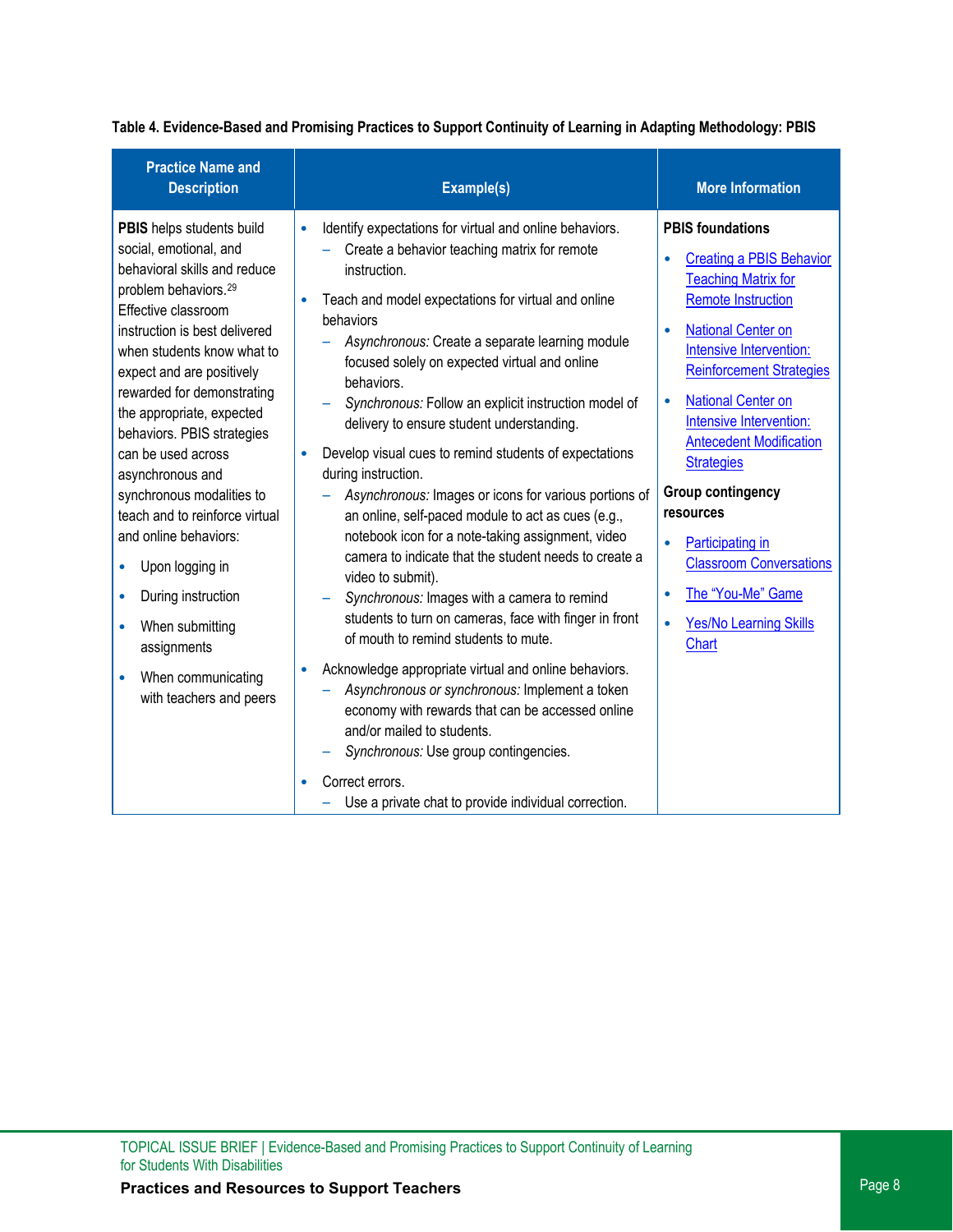| Table 4. Evidence-Based and Promising Practices to Support Continuity of Learning in Adapting Methodology: PBIS |  |
|-----------------------------------------------------------------------------------------------------------------|--|
|                                                                                                                 |  |

| <b>Practice Name and</b><br><b>Description</b>                                                                                                                                                                                                                                                                                                                                                                                                                                                                                                                                                                                                        | Example(s)                                                                                                                                                                                                                                                                                                                                                                                                                                                                                                                                                                                                                                                                                                                                                                                                                                                                                                                                                                                                                                                                                                                                                                                                                           | <b>More Information</b>                                                                                                                                                                                                                                                                                                                                                                                                                                                                                                                    |
|-------------------------------------------------------------------------------------------------------------------------------------------------------------------------------------------------------------------------------------------------------------------------------------------------------------------------------------------------------------------------------------------------------------------------------------------------------------------------------------------------------------------------------------------------------------------------------------------------------------------------------------------------------|--------------------------------------------------------------------------------------------------------------------------------------------------------------------------------------------------------------------------------------------------------------------------------------------------------------------------------------------------------------------------------------------------------------------------------------------------------------------------------------------------------------------------------------------------------------------------------------------------------------------------------------------------------------------------------------------------------------------------------------------------------------------------------------------------------------------------------------------------------------------------------------------------------------------------------------------------------------------------------------------------------------------------------------------------------------------------------------------------------------------------------------------------------------------------------------------------------------------------------------|--------------------------------------------------------------------------------------------------------------------------------------------------------------------------------------------------------------------------------------------------------------------------------------------------------------------------------------------------------------------------------------------------------------------------------------------------------------------------------------------------------------------------------------------|
| PBIS helps students build<br>social, emotional, and<br>behavioral skills and reduce<br>problem behaviors. <sup>29</sup><br>Effective classroom<br>instruction is best delivered<br>when students know what to<br>expect and are positively<br>rewarded for demonstrating<br>the appropriate, expected<br>behaviors. PBIS strategies<br>can be used across<br>asynchronous and<br>synchronous modalities to<br>teach and to reinforce virtual<br>and online behaviors:<br>Upon logging in<br>$\bullet$<br>During instruction<br>$\bullet$<br>When submitting<br>$\bullet$<br>assignments<br>When communicating<br>$\bullet$<br>with teachers and peers | Identify expectations for virtual and online behaviors.<br>$\bullet$<br>Create a behavior teaching matrix for remote<br>instruction.<br>Teach and model expectations for virtual and online<br>behaviors<br>Asynchronous: Create a separate learning module<br>focused solely on expected virtual and online<br>behaviors.<br>Synchronous: Follow an explicit instruction model of<br>delivery to ensure student understanding.<br>Develop visual cues to remind students of expectations<br>during instruction.<br>Asynchronous: Images or icons for various portions of<br>an online, self-paced module to act as cues (e.g.,<br>notebook icon for a note-taking assignment, video<br>camera to indicate that the student needs to create a<br>video to submit).<br>Synchronous: Images with a camera to remind<br>students to turn on cameras, face with finger in front<br>of mouth to remind students to mute.<br>Acknowledge appropriate virtual and online behaviors.<br>Asynchronous or synchronous: Implement a token<br>economy with rewards that can be accessed online<br>and/or mailed to students.<br>Synchronous: Use group contingencies.<br>Correct errors.<br>Use a private chat to provide individual correction. | <b>PBIS foundations</b><br><b>Creating a PBIS Behavior</b><br><b>Teaching Matrix for</b><br><b>Remote Instruction</b><br><b>National Center on</b><br>$\bullet$<br>Intensive Intervention:<br><b>Reinforcement Strategies</b><br><b>National Center on</b><br>$\bullet$<br>Intensive Intervention:<br><b>Antecedent Modification</b><br><b>Strategies</b><br>Group contingency<br>resources<br>Participating in<br>$\bullet$<br><b>Classroom Conversations</b><br>The "You-Me" Game<br>$\bullet$<br><b>Yes/No Learning Skills</b><br>Chart |
|                                                                                                                                                                                                                                                                                                                                                                                                                                                                                                                                                                                                                                                       |                                                                                                                                                                                                                                                                                                                                                                                                                                                                                                                                                                                                                                                                                                                                                                                                                                                                                                                                                                                                                                                                                                                                                                                                                                      |                                                                                                                                                                                                                                                                                                                                                                                                                                                                                                                                            |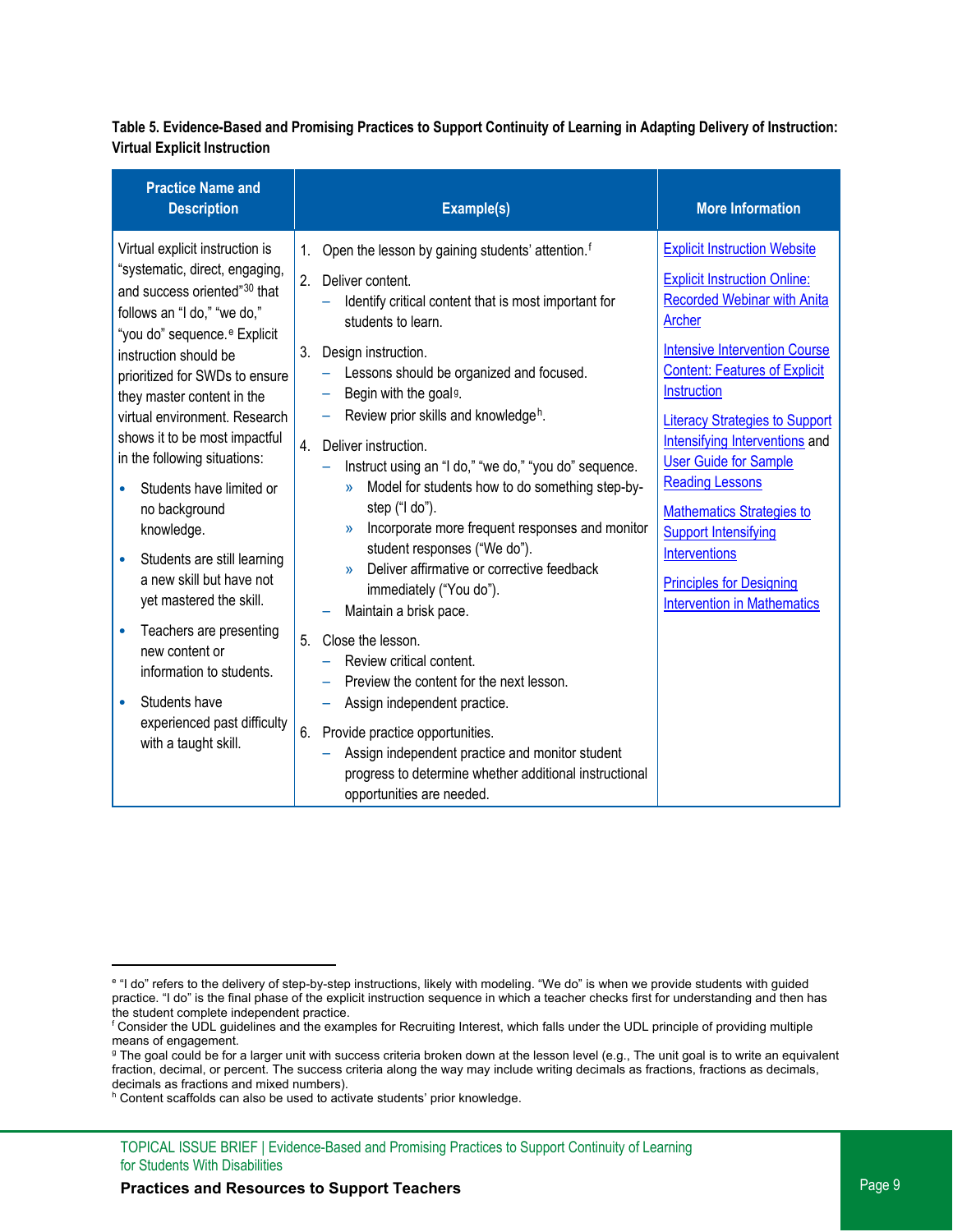#### **Table 5. Evidence-Based and Promising Practices to Support Continuity of Learning in Adapting Delivery of Instruction: Virtual Explicit Instruction**

| <b>Practice Name and</b><br><b>Description</b>                                                                                                                                                                                                                                                                                                                                                                                                                                                                                                                                                                                                                                                     | Example(s)                                                                                                                                                                                                                                                                                                                                                                                                                                                                                                                                                                                                                                                                                                                                                                                                                                                                                                                                                                                                                                             | <b>More Information</b>                                                                                                                                                                                                                                                                                                                                                                                                                                                                                                            |
|----------------------------------------------------------------------------------------------------------------------------------------------------------------------------------------------------------------------------------------------------------------------------------------------------------------------------------------------------------------------------------------------------------------------------------------------------------------------------------------------------------------------------------------------------------------------------------------------------------------------------------------------------------------------------------------------------|--------------------------------------------------------------------------------------------------------------------------------------------------------------------------------------------------------------------------------------------------------------------------------------------------------------------------------------------------------------------------------------------------------------------------------------------------------------------------------------------------------------------------------------------------------------------------------------------------------------------------------------------------------------------------------------------------------------------------------------------------------------------------------------------------------------------------------------------------------------------------------------------------------------------------------------------------------------------------------------------------------------------------------------------------------|------------------------------------------------------------------------------------------------------------------------------------------------------------------------------------------------------------------------------------------------------------------------------------------------------------------------------------------------------------------------------------------------------------------------------------------------------------------------------------------------------------------------------------|
| Virtual explicit instruction is<br>"systematic, direct, engaging,<br>and success oriented" <sup>30</sup> that<br>follows an "I do," "we do,"<br>"you do" sequence. <sup>e</sup> Explicit<br>instruction should be<br>prioritized for SWDs to ensure<br>they master content in the<br>virtual environment. Research<br>shows it to be most impactful<br>in the following situations:<br>Students have limited or<br>no background<br>knowledge.<br>Students are still learning<br>a new skill but have not<br>yet mastered the skill.<br>Teachers are presenting<br>new content or<br>information to students.<br>Students have<br>$\bullet$<br>experienced past difficulty<br>with a taught skill. | Open the lesson by gaining students' attention. <sup>f</sup><br>1.<br>2.<br>Deliver content.<br>Identify critical content that is most important for<br>students to learn.<br>3.<br>Design instruction.<br>Lessons should be organized and focused.<br>Begin with the goal <sup>g</sup> .<br>Review prior skills and knowledge <sup>h</sup> .<br>Deliver instruction.<br>4.<br>Instruct using an "I do," "we do," "you do" sequence.<br>Model for students how to do something step-by-<br>$\mathcal{P}$<br>step ("I do").<br>Incorporate more frequent responses and monitor<br>$\mathcal{V}$<br>student responses ("We do").<br>Deliver affirmative or corrective feedback<br>$\mathbf{v}$<br>immediately ("You do").<br>Maintain a brisk pace.<br>5 <sub>1</sub><br>Close the lesson.<br>Review critical content.<br>Preview the content for the next lesson.<br>Assign independent practice.<br>6.<br>Provide practice opportunities.<br>Assign independent practice and monitor student<br>progress to determine whether additional instructional | <b>Explicit Instruction Website</b><br><b>Explicit Instruction Online:</b><br><b>Recorded Webinar with Anita</b><br><b>Archer</b><br><b>Intensive Intervention Course</b><br><b>Content: Features of Explicit</b><br>Instruction<br><b>Literacy Strategies to Support</b><br>Intensifying Interventions and<br><b>User Guide for Sample</b><br><b>Reading Lessons</b><br><b>Mathematics Strategies to</b><br><b>Support Intensifying</b><br>Interventions<br><b>Principles for Designing</b><br><b>Intervention in Mathematics</b> |
|                                                                                                                                                                                                                                                                                                                                                                                                                                                                                                                                                                                                                                                                                                    | opportunities are needed.                                                                                                                                                                                                                                                                                                                                                                                                                                                                                                                                                                                                                                                                                                                                                                                                                                                                                                                                                                                                                              |                                                                                                                                                                                                                                                                                                                                                                                                                                                                                                                                    |

<span id="page-8-0"></span>e "I do" refers to the delivery of step-by-step instructions, likely with modeling. "We do" is when we provide students with guided practice. "I do" is the final phase of the explicit instruction sequence in which a teacher checks first for understanding and then has the student complete independent practice.

<span id="page-8-1"></span>f Consider the UDL guidelines and the examples fo[r Recruiting Interest,](http://udlguidelines.cast.org/engagement/recruiting-interest) which falls under the UDL principle of providing multiple means of engagement.

<span id="page-8-2"></span><sup>&</sup>lt;sup>g</sup> The goal could be for a larger unit with success criteria broken down at the lesson level (e.g., The unit goal is to write an equivalent fraction, decimal, or percent. The success criteria along the way may include writing decimals as fractions, fractions as decimals, decimals as fractions and mixed numbers).

<span id="page-8-3"></span>h Content scaffolds can also be used to activate students' prior knowledge.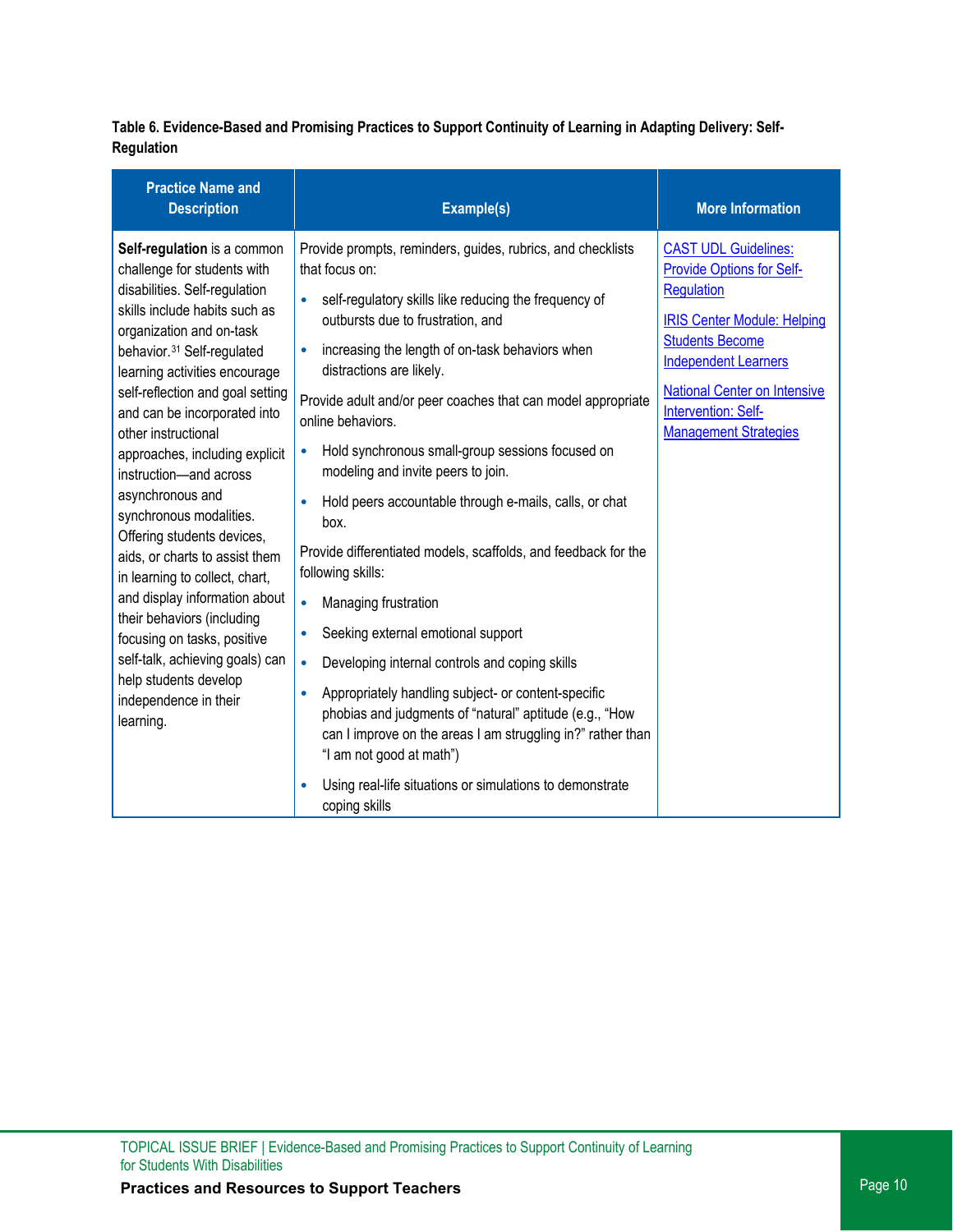**Table 6. Evidence-Based and Promising Practices to Support Continuity of Learning in Adapting Delivery: Self-Regulation** 

| <b>Practice Name and</b><br><b>Description</b>                                                                                                                                                                                                                                                                                                                                                                                                                                                                                                                                                                                                                                                                                              | Example(s)                                                                                                                                                                                                                                                                                                                                                                                                                                                                                                                                                                                                                                                                                                                                                                                                                                                                                                                                                                                                                                                                                 | <b>More Information</b>                                                                                                                                                                                                                                                                  |
|---------------------------------------------------------------------------------------------------------------------------------------------------------------------------------------------------------------------------------------------------------------------------------------------------------------------------------------------------------------------------------------------------------------------------------------------------------------------------------------------------------------------------------------------------------------------------------------------------------------------------------------------------------------------------------------------------------------------------------------------|--------------------------------------------------------------------------------------------------------------------------------------------------------------------------------------------------------------------------------------------------------------------------------------------------------------------------------------------------------------------------------------------------------------------------------------------------------------------------------------------------------------------------------------------------------------------------------------------------------------------------------------------------------------------------------------------------------------------------------------------------------------------------------------------------------------------------------------------------------------------------------------------------------------------------------------------------------------------------------------------------------------------------------------------------------------------------------------------|------------------------------------------------------------------------------------------------------------------------------------------------------------------------------------------------------------------------------------------------------------------------------------------|
| Self-regulation is a common<br>challenge for students with<br>disabilities. Self-regulation<br>skills include habits such as<br>organization and on-task<br>behavior. <sup>31</sup> Self-regulated<br>learning activities encourage<br>self-reflection and goal setting<br>and can be incorporated into<br>other instructional<br>approaches, including explicit<br>instruction-and across<br>asynchronous and<br>synchronous modalities.<br>Offering students devices,<br>aids, or charts to assist them<br>in learning to collect, chart,<br>and display information about<br>their behaviors (including<br>focusing on tasks, positive<br>self-talk, achieving goals) can<br>help students develop<br>independence in their<br>learning. | Provide prompts, reminders, guides, rubrics, and checklists<br>that focus on:<br>self-regulatory skills like reducing the frequency of<br>outbursts due to frustration, and<br>increasing the length of on-task behaviors when<br>$\bullet$<br>distractions are likely.<br>Provide adult and/or peer coaches that can model appropriate<br>online behaviors.<br>Hold synchronous small-group sessions focused on<br>$\bullet$<br>modeling and invite peers to join.<br>Hold peers accountable through e-mails, calls, or chat<br>box.<br>Provide differentiated models, scaffolds, and feedback for the<br>following skills:<br>$\bullet$<br>Managing frustration<br>Seeking external emotional support<br>$\bullet$<br>Developing internal controls and coping skills<br>$\bullet$<br>Appropriately handling subject- or content-specific<br>$\bullet$<br>phobias and judgments of "natural" aptitude (e.g., "How<br>can I improve on the areas I am struggling in?" rather than<br>"I am not good at math")<br>Using real-life situations or simulations to demonstrate<br>coping skills | <b>CAST UDL Guidelines:</b><br><b>Provide Options for Self-</b><br><b>Regulation</b><br><b>IRIS Center Module: Helping</b><br><b>Students Become</b><br><b>Independent Learners</b><br><b>National Center on Intensive</b><br><b>Intervention: Self-</b><br><b>Management Strategies</b> |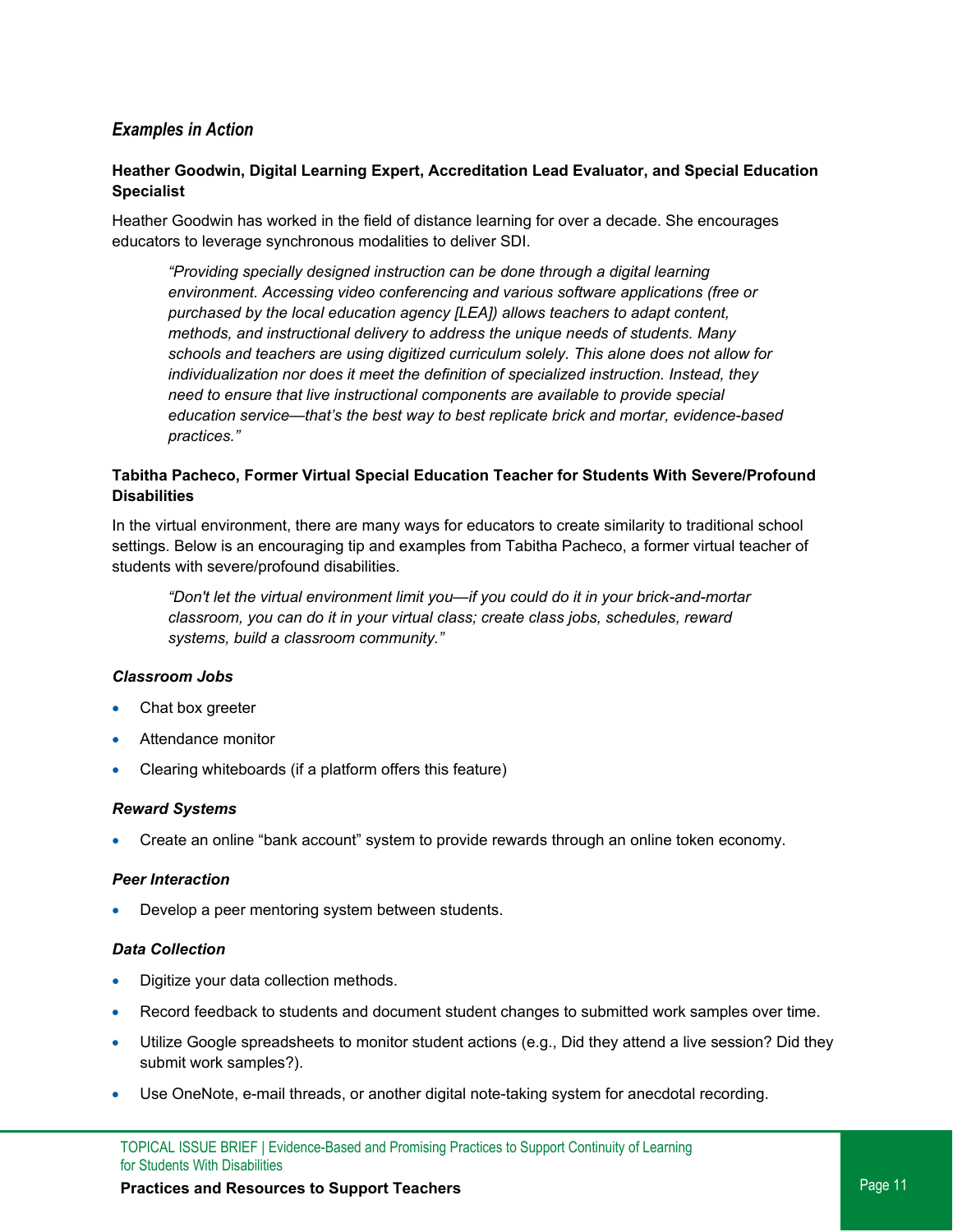### *Examples in Action*

#### **Heather Goodwin, Digital Learning Expert, Accreditation Lead Evaluator, and Special Education Specialist**

Heather Goodwin has worked in the field of distance learning for over a decade. She encourages educators to leverage synchronous modalities to deliver SDI.

*"Providing specially designed instruction can be done through a digital learning environment. Accessing video conferencing and various software applications (free or purchased by the local education agency [LEA]) allows teachers to adapt content, methods, and instructional delivery to address the unique needs of students. Many schools and teachers are using digitized curriculum solely. This alone does not allow for individualization nor does it meet the definition of specialized instruction. Instead, they need to ensure that live instructional components are available to provide special education service—that's the best way to best replicate brick and mortar, evidence-based practices."*

#### **Tabitha Pacheco, Former Virtual Special Education Teacher for Students With Severe/Profound Disabilities**

In the virtual environment, there are many ways for educators to create similarity to traditional school settings. Below is an encouraging tip and examples from Tabitha Pacheco, a former virtual teacher of students with severe/profound disabilities.

*"Don't let the virtual environment limit you—if you could do it in your brick-and-mortar classroom, you can do it in your virtual class; create class jobs, schedules, reward systems, build a classroom community."* 

#### *Classroom Jobs*

- Chat box greeter
- Attendance monitor
- Clearing whiteboards (if a platform offers this feature)

#### *Reward Systems*

• Create an online "bank account" system to provide rewards through an online token economy.

#### *Peer Interaction*

Develop a peer mentoring system between students.

#### *Data Collection*

- Digitize your data collection methods.
- Record feedback to students and document student changes to submitted work samples over time.
- Utilize Google spreadsheets to monitor student actions (e.g., Did they attend a live session? Did they submit work samples?).
- Use OneNote, e-mail threads, or another digital note-taking system for anecdotal recording.

### **Practices and Resources to Support Teachers Properties Access 20 August 20 August 20 August 20 August 20 August 20 August 20 August 20 August 20 August 20 August 20 August 20 August 20 August 20 August 20 August 20 Augu**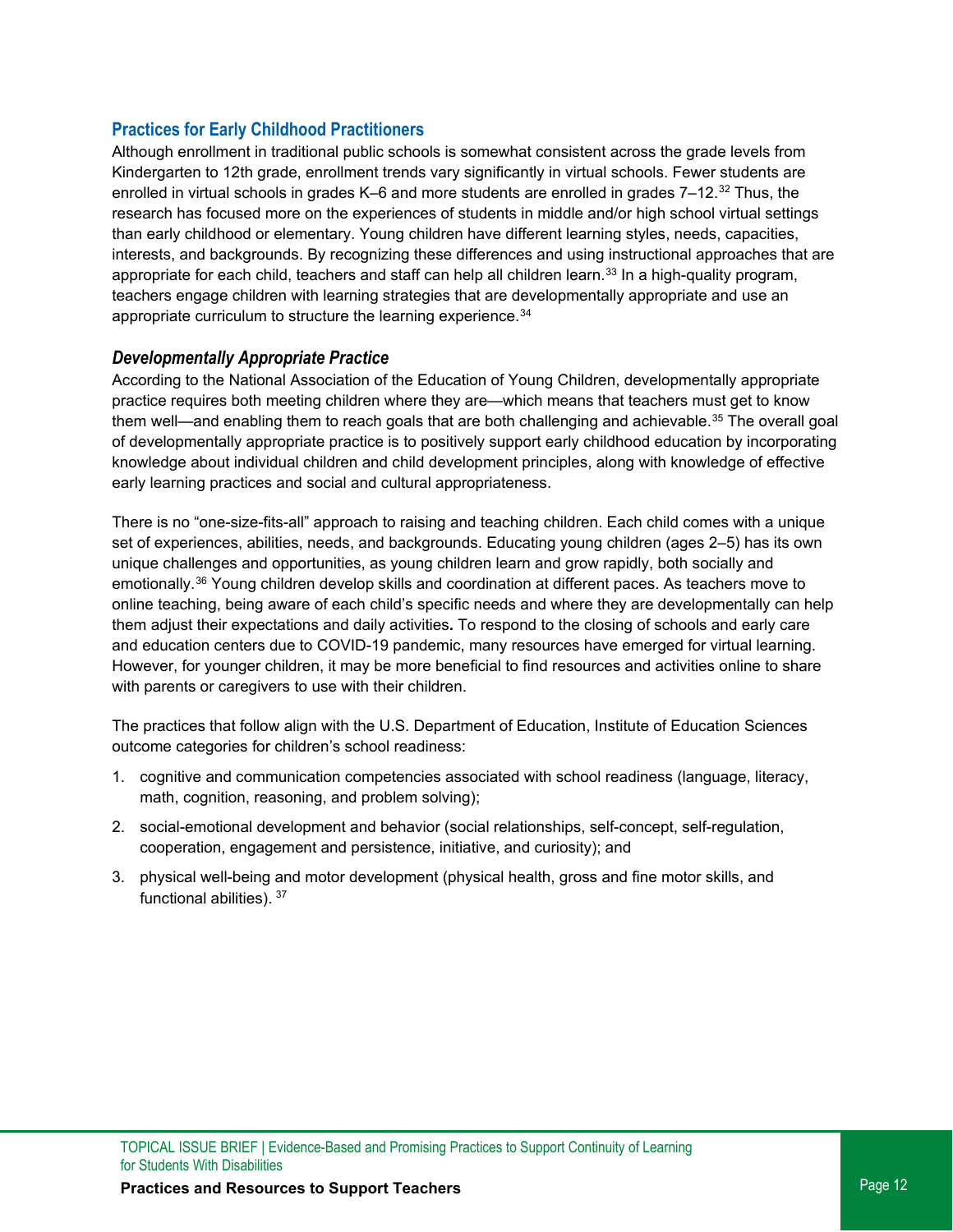### **Practices for Early Childhood Practitioners**

Although enrollment in traditional public schools is somewhat consistent across the grade levels from Kindergarten to 12th grade, enrollment trends vary significantly in virtual schools. Fewer students are enrolled in virtual schools in grades K–6 and more students are enrolled in grades 7–12.<sup>[32](#page-22-2)</sup> Thus, the research has focused more on the experiences of students in middle and/or high school virtual settings than early childhood or elementary. Young children have different learning styles, needs, capacities, interests, and backgrounds. By recognizing these differences and using instructional approaches that are appropriate for each child, teachers and staff can help all children learn.<sup>[33](#page-22-3)</sup> In a high-quality program, teachers engage children with learning strategies that are developmentally appropriate and use an appropriate curriculum to structure the learning experience.<sup>[34](#page-22-4)</sup>

### *Developmentally Appropriate Practice*

According to the National Association of the Education of Young Children, developmentally appropriate practice requires both meeting children where they are—which means that teachers must get to know them well—and enabling them to reach goals that are both challenging and achievable.<sup>[35](#page-22-5)</sup> The overall goal of developmentally appropriate practice is to positively support early childhood education by incorporating knowledge about individual children and child development principles, along with knowledge of effective early learning practices and social and cultural appropriateness.

There is no "one-size-fits-all" approach to raising and teaching children. Each child comes with a unique set of experiences, abilities, needs, and backgrounds. Educating young children (ages 2–5) has its own unique challenges and opportunities, as young children learn and grow rapidly, both socially and emotionally.[36](#page-22-6) Young children develop skills and coordination at different paces. As teachers move to online teaching, being aware of each child's specific needs and where they are developmentally can help them adjust their expectations and daily activities**.** To respond to the closing of schools and early care and education centers due to COVID-19 pandemic, many resources have emerged for virtual learning. However, for younger children, it may be more beneficial to find resources and activities online to share with parents or caregivers to use with their children.

The practices that follow align with the U.S. Department of Education, Institute of Education Sciences outcome categories for children's school readiness:

- 1. cognitive and communication competencies associated with school readiness (language, literacy, math, cognition, reasoning, and problem solving);
- 2. social-emotional development and behavior (social relationships, self-concept, self-regulation, cooperation, engagement and persistence, initiative, and curiosity); and
- 3. physical well-being and motor development (physical health, gross and fine motor skills, and functional abilities). [37](#page-22-7)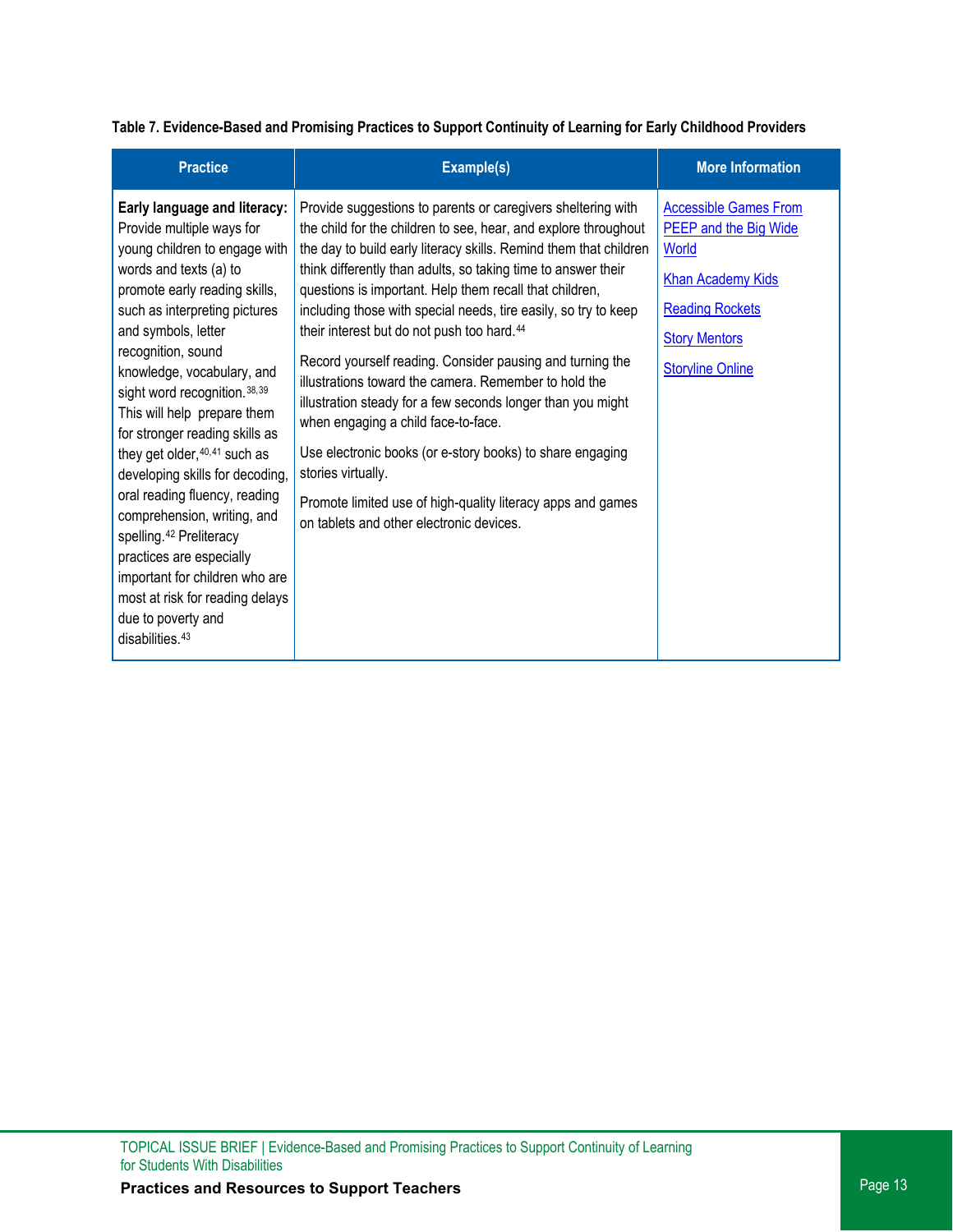**Table 7. Evidence-Based and Promising Practices to Support Continuity of Learning for Early Childhood Providers**

| <b>Practice</b>                                                                                                                                                                                                                                                                                                                                                                                                                                                                                                                                                                                                                                                                                        | Example(s)                                                                                                                                                                                                                                                                                                                                                                                                                                                                                                                                                                                                                                                                                                                                                                                                                                                                              | <b>More Information</b>                                                                                                                                                 |
|--------------------------------------------------------------------------------------------------------------------------------------------------------------------------------------------------------------------------------------------------------------------------------------------------------------------------------------------------------------------------------------------------------------------------------------------------------------------------------------------------------------------------------------------------------------------------------------------------------------------------------------------------------------------------------------------------------|-----------------------------------------------------------------------------------------------------------------------------------------------------------------------------------------------------------------------------------------------------------------------------------------------------------------------------------------------------------------------------------------------------------------------------------------------------------------------------------------------------------------------------------------------------------------------------------------------------------------------------------------------------------------------------------------------------------------------------------------------------------------------------------------------------------------------------------------------------------------------------------------|-------------------------------------------------------------------------------------------------------------------------------------------------------------------------|
| Early language and literacy:<br>Provide multiple ways for<br>young children to engage with<br>words and texts (a) to<br>promote early reading skills,<br>such as interpreting pictures<br>and symbols, letter<br>recognition, sound<br>knowledge, vocabulary, and<br>sight word recognition. 38, 39<br>This will help prepare them<br>for stronger reading skills as<br>they get older, 40, 41 such as<br>developing skills for decoding,<br>oral reading fluency, reading<br>comprehension, writing, and<br>spelling. <sup>42</sup> Preliteracy<br>practices are especially<br>important for children who are<br>most at risk for reading delays<br>due to poverty and<br>disabilities. <sup>43</sup> | Provide suggestions to parents or caregivers sheltering with<br>the child for the children to see, hear, and explore throughout<br>the day to build early literacy skills. Remind them that children<br>think differently than adults, so taking time to answer their<br>questions is important. Help them recall that children,<br>including those with special needs, tire easily, so try to keep<br>their interest but do not push too hard. <sup>44</sup><br>Record yourself reading. Consider pausing and turning the<br>illustrations toward the camera. Remember to hold the<br>illustration steady for a few seconds longer than you might<br>when engaging a child face-to-face.<br>Use electronic books (or e-story books) to share engaging<br>stories virtually.<br>Promote limited use of high-quality literacy apps and games<br>on tablets and other electronic devices. | <b>Accessible Games From</b><br>PEEP and the Big Wide<br>World<br><b>Khan Academy Kids</b><br><b>Reading Rockets</b><br><b>Story Mentors</b><br><b>Storyline Online</b> |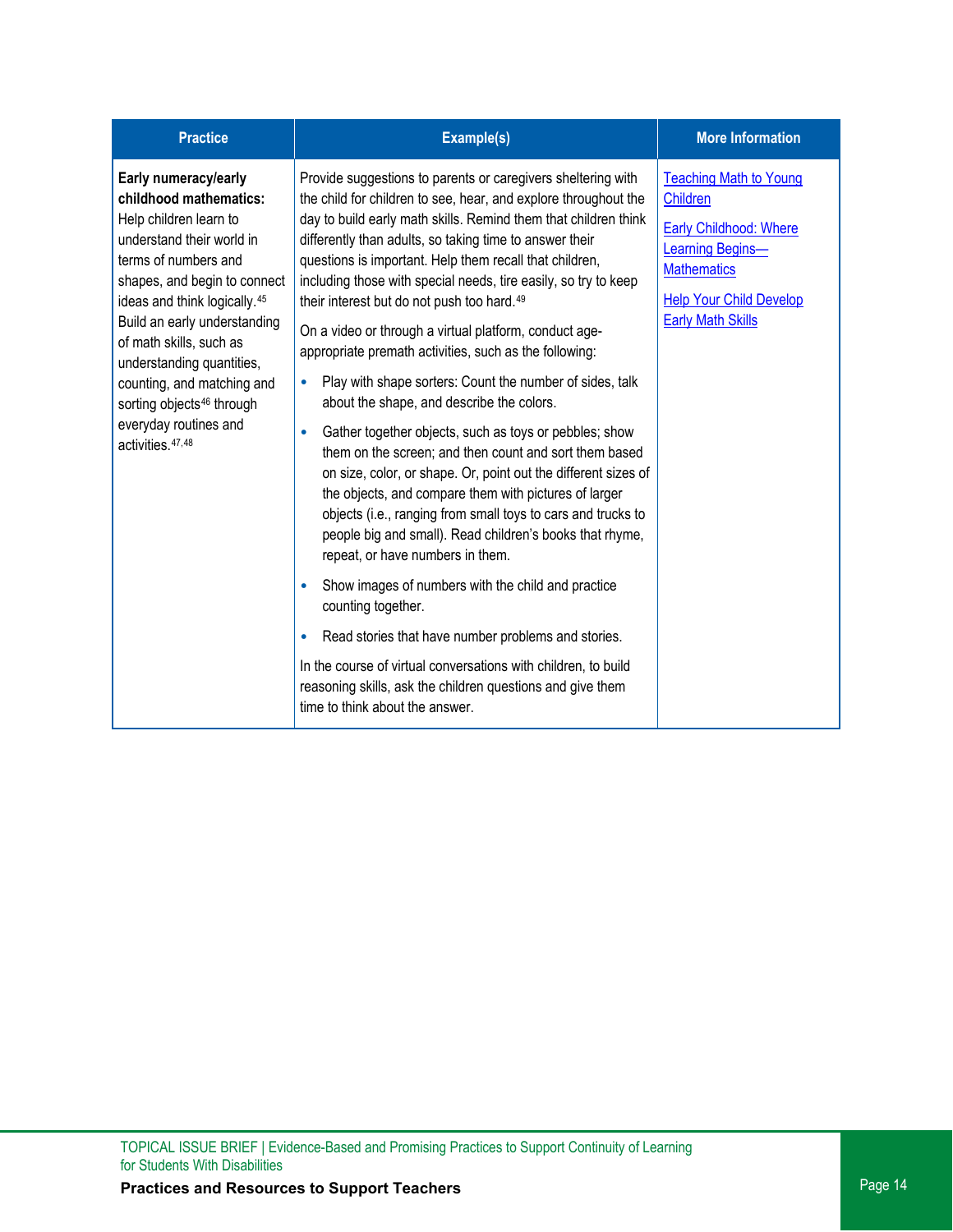| <b>Practice</b>                                                                                                                                                                                                                                                                                                                                                                                                        | Example(s)                                                                                                                                                                                                                                                                                                                                                                                                                                                                                                                                                                                                                                                                                                                                                                                                                                                                                                                                                                                                                                                                                                                                                                                                                                                                                                                                                                                                                             | <b>More Information</b>                                                                                                                                                                   |
|------------------------------------------------------------------------------------------------------------------------------------------------------------------------------------------------------------------------------------------------------------------------------------------------------------------------------------------------------------------------------------------------------------------------|----------------------------------------------------------------------------------------------------------------------------------------------------------------------------------------------------------------------------------------------------------------------------------------------------------------------------------------------------------------------------------------------------------------------------------------------------------------------------------------------------------------------------------------------------------------------------------------------------------------------------------------------------------------------------------------------------------------------------------------------------------------------------------------------------------------------------------------------------------------------------------------------------------------------------------------------------------------------------------------------------------------------------------------------------------------------------------------------------------------------------------------------------------------------------------------------------------------------------------------------------------------------------------------------------------------------------------------------------------------------------------------------------------------------------------------|-------------------------------------------------------------------------------------------------------------------------------------------------------------------------------------------|
| Early numeracy/early<br>childhood mathematics:<br>Help children learn to<br>understand their world in<br>terms of numbers and<br>shapes, and begin to connect<br>ideas and think logically. <sup>45</sup><br>Build an early understanding<br>of math skills, such as<br>understanding quantities,<br>counting, and matching and<br>sorting objects <sup>46</sup> through<br>everyday routines and<br>activities. 47,48 | Provide suggestions to parents or caregivers sheltering with<br>the child for children to see, hear, and explore throughout the<br>day to build early math skills. Remind them that children think<br>differently than adults, so taking time to answer their<br>questions is important. Help them recall that children,<br>including those with special needs, tire easily, so try to keep<br>their interest but do not push too hard. <sup>49</sup><br>On a video or through a virtual platform, conduct age-<br>appropriate premath activities, such as the following:<br>Play with shape sorters: Count the number of sides, talk<br>$\bullet$<br>about the shape, and describe the colors.<br>Gather together objects, such as toys or pebbles; show<br>$\bullet$<br>them on the screen; and then count and sort them based<br>on size, color, or shape. Or, point out the different sizes of<br>the objects, and compare them with pictures of larger<br>objects (i.e., ranging from small toys to cars and trucks to<br>people big and small). Read children's books that rhyme,<br>repeat, or have numbers in them.<br>Show images of numbers with the child and practice<br>۰<br>counting together.<br>Read stories that have number problems and stories.<br>In the course of virtual conversations with children, to build<br>reasoning skills, ask the children questions and give them<br>time to think about the answer. | <b>Teaching Math to Young</b><br><b>Children</b><br>Early Childhood: Where<br><b>Learning Begins-</b><br><b>Mathematics</b><br><b>Help Your Child Develop</b><br><b>Early Math Skills</b> |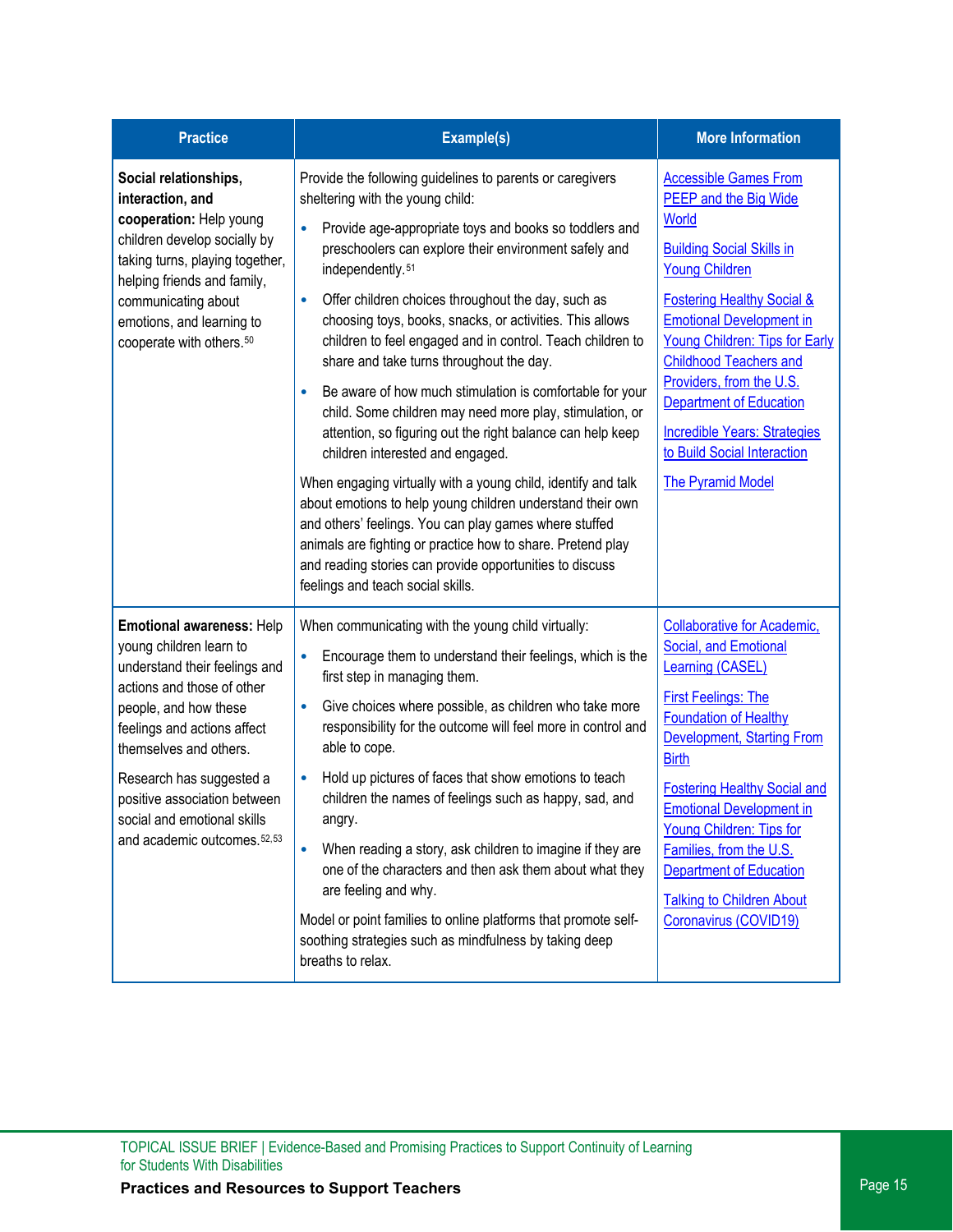| <b>Practice</b>                                                                                                                                                                                                                                                                                                                  | Example(s)                                                                                                                                                                                                                                                                                                                                                                                                                                                                                                                                                                                                                                                                                                                                                                                                                                                                                                                                                                                                                                                                                             | <b>More Information</b>                                                                                                                                                                                                                                                                                                                                                                                                                                  |
|----------------------------------------------------------------------------------------------------------------------------------------------------------------------------------------------------------------------------------------------------------------------------------------------------------------------------------|--------------------------------------------------------------------------------------------------------------------------------------------------------------------------------------------------------------------------------------------------------------------------------------------------------------------------------------------------------------------------------------------------------------------------------------------------------------------------------------------------------------------------------------------------------------------------------------------------------------------------------------------------------------------------------------------------------------------------------------------------------------------------------------------------------------------------------------------------------------------------------------------------------------------------------------------------------------------------------------------------------------------------------------------------------------------------------------------------------|----------------------------------------------------------------------------------------------------------------------------------------------------------------------------------------------------------------------------------------------------------------------------------------------------------------------------------------------------------------------------------------------------------------------------------------------------------|
| Social relationships,<br>interaction, and<br>cooperation: Help young<br>children develop socially by<br>taking turns, playing together,<br>helping friends and family,<br>communicating about<br>emotions, and learning to<br>cooperate with others. <sup>50</sup>                                                               | Provide the following guidelines to parents or caregivers<br>sheltering with the young child:<br>Provide age-appropriate toys and books so toddlers and<br>$\bullet$<br>preschoolers can explore their environment safely and<br>independently. <sup>51</sup><br>Offer children choices throughout the day, such as<br>$\bullet$<br>choosing toys, books, snacks, or activities. This allows<br>children to feel engaged and in control. Teach children to<br>share and take turns throughout the day.<br>Be aware of how much stimulation is comfortable for your<br>$\bullet$<br>child. Some children may need more play, stimulation, or<br>attention, so figuring out the right balance can help keep<br>children interested and engaged.<br>When engaging virtually with a young child, identify and talk<br>about emotions to help young children understand their own<br>and others' feelings. You can play games where stuffed<br>animals are fighting or practice how to share. Pretend play<br>and reading stories can provide opportunities to discuss<br>feelings and teach social skills. | <b>Accessible Games From</b><br><b>PEEP and the Big Wide</b><br><b>World</b><br><b>Building Social Skills in</b><br><b>Young Children</b><br><b>Fostering Healthy Social &amp;</b><br><b>Emotional Development in</b><br>Young Children: Tips for Early<br><b>Childhood Teachers and</b><br>Providers, from the U.S.<br><b>Department of Education</b><br><b>Incredible Years: Strategies</b><br>to Build Social Interaction<br><b>The Pyramid Model</b> |
| Emotional awareness: Help<br>young children learn to<br>understand their feelings and<br>actions and those of other<br>people, and how these<br>feelings and actions affect<br>themselves and others.<br>Research has suggested a<br>positive association between<br>social and emotional skills<br>and academic outcomes. 52,53 | When communicating with the young child virtually:<br>Encourage them to understand their feelings, which is the<br>$\bullet$<br>first step in managing them.<br>Give choices where possible, as children who take more<br>۰<br>responsibility for the outcome will feel more in control and<br>able to cope.<br>Hold up pictures of faces that show emotions to teach<br>$\bullet$<br>children the names of feelings such as happy, sad, and<br>angry.<br>When reading a story, ask children to imagine if they are<br>$\bullet$<br>one of the characters and then ask them about what they<br>are feeling and why.<br>Model or point families to online platforms that promote self-<br>soothing strategies such as mindfulness by taking deep<br>breaths to relax.                                                                                                                                                                                                                                                                                                                                   | <b>Collaborative for Academic,</b><br>Social, and Emotional<br>Learning (CASEL)<br><b>First Feelings: The</b><br>Foundation of Healthy<br><b>Development, Starting From</b><br><b>Birth</b><br><b>Fostering Healthy Social and</b><br><b>Emotional Development in</b><br><b>Young Children: Tips for</b><br>Families, from the U.S.<br><b>Department of Education</b><br><b>Talking to Children About</b><br>Coronavirus (COVID19)                       |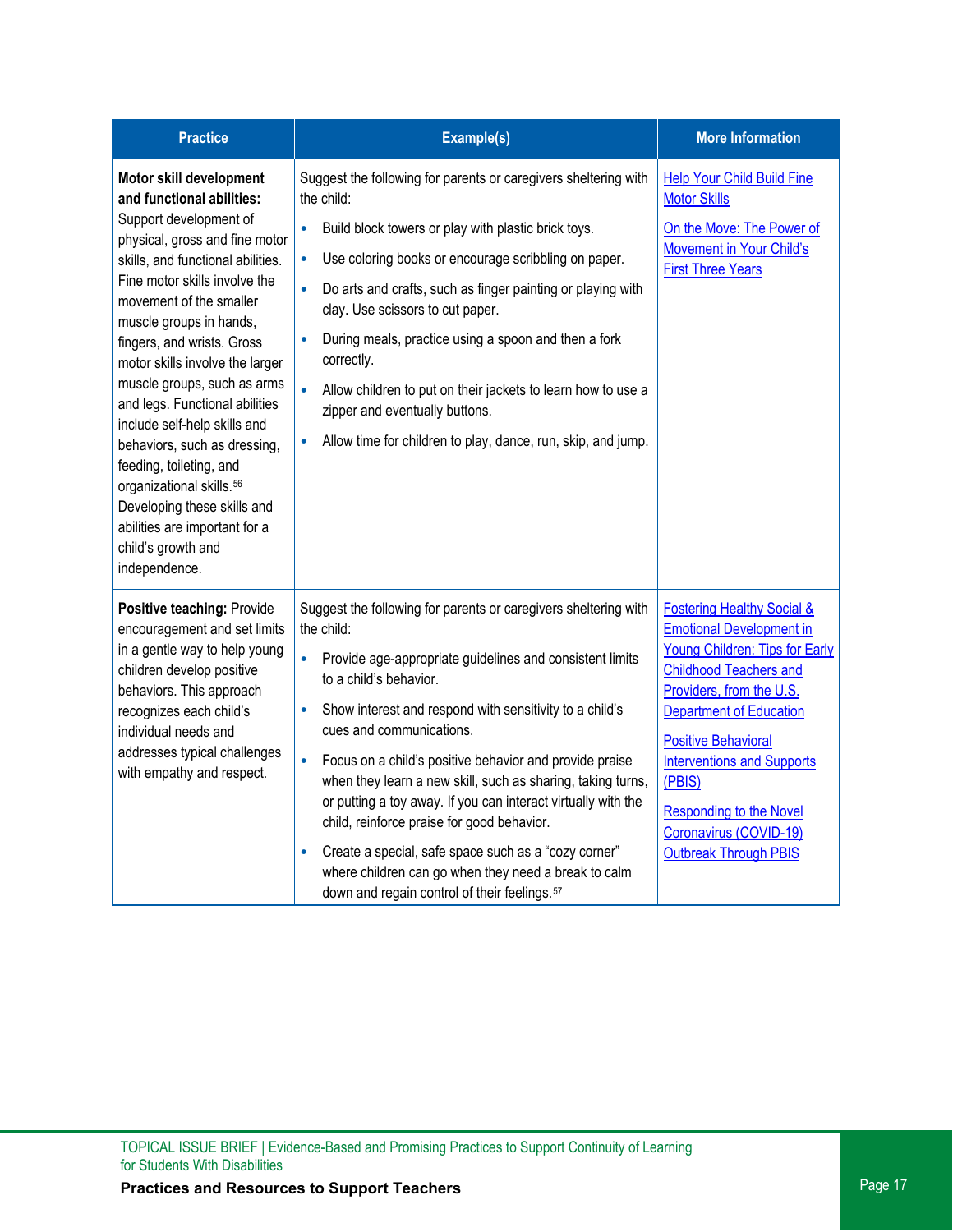| <b>Practice</b>                                                                                                                                                                                                                                                                                                                                                                                                                                                                                                                                                                                                          | Example(s)                                                                                                                                                                                                                                                                                                                                                                                                                                                                                                                                                                                                                                                                                                             | <b>More Information</b>                                                                                                                                                                                                                                                                                                                                                                   |
|--------------------------------------------------------------------------------------------------------------------------------------------------------------------------------------------------------------------------------------------------------------------------------------------------------------------------------------------------------------------------------------------------------------------------------------------------------------------------------------------------------------------------------------------------------------------------------------------------------------------------|------------------------------------------------------------------------------------------------------------------------------------------------------------------------------------------------------------------------------------------------------------------------------------------------------------------------------------------------------------------------------------------------------------------------------------------------------------------------------------------------------------------------------------------------------------------------------------------------------------------------------------------------------------------------------------------------------------------------|-------------------------------------------------------------------------------------------------------------------------------------------------------------------------------------------------------------------------------------------------------------------------------------------------------------------------------------------------------------------------------------------|
| Motor skill development<br>and functional abilities:<br>Support development of<br>physical, gross and fine motor<br>skills, and functional abilities.<br>Fine motor skills involve the<br>movement of the smaller<br>muscle groups in hands,<br>fingers, and wrists. Gross<br>motor skills involve the larger<br>muscle groups, such as arms<br>and legs. Functional abilities<br>include self-help skills and<br>behaviors, such as dressing,<br>feeding, toileting, and<br>organizational skills. <sup>56</sup><br>Developing these skills and<br>abilities are important for a<br>child's growth and<br>independence. | Suggest the following for parents or caregivers sheltering with<br>the child:<br>Build block towers or play with plastic brick toys.<br>$\bullet$<br>Use coloring books or encourage scribbling on paper.<br>$\bullet$<br>Do arts and crafts, such as finger painting or playing with<br>clay. Use scissors to cut paper.<br>During meals, practice using a spoon and then a fork<br>$\bullet$<br>correctly.<br>Allow children to put on their jackets to learn how to use a<br>$\bullet$<br>zipper and eventually buttons.<br>Allow time for children to play, dance, run, skip, and jump.                                                                                                                            | <b>Help Your Child Build Fine</b><br><b>Motor Skills</b><br>On the Move: The Power of<br>Movement in Your Child's<br><b>First Three Years</b>                                                                                                                                                                                                                                             |
| Positive teaching: Provide<br>encouragement and set limits<br>in a gentle way to help young<br>children develop positive<br>behaviors. This approach<br>recognizes each child's<br>individual needs and<br>addresses typical challenges<br>with empathy and respect.                                                                                                                                                                                                                                                                                                                                                     | Suggest the following for parents or caregivers sheltering with<br>the child:<br>Provide age-appropriate guidelines and consistent limits<br>to a child's behavior.<br>Show interest and respond with sensitivity to a child's<br>$\bullet$<br>cues and communications.<br>Focus on a child's positive behavior and provide praise<br>$\bullet$<br>when they learn a new skill, such as sharing, taking turns,<br>or putting a toy away. If you can interact virtually with the<br>child, reinforce praise for good behavior.<br>Create a special, safe space such as a "cozy corner"<br>$\bullet$<br>where children can go when they need a break to calm<br>down and regain control of their feelings. <sup>57</sup> | <b>Fostering Healthy Social &amp;</b><br><b>Emotional Development in</b><br><b>Young Children: Tips for Early</b><br><b>Childhood Teachers and</b><br>Providers, from the U.S.<br><b>Department of Education</b><br><b>Positive Behavioral</b><br><b>Interventions and Supports</b><br>(PBIS)<br><b>Responding to the Novel</b><br>Coronavirus (COVID-19)<br><b>Outbreak Through PBIS</b> |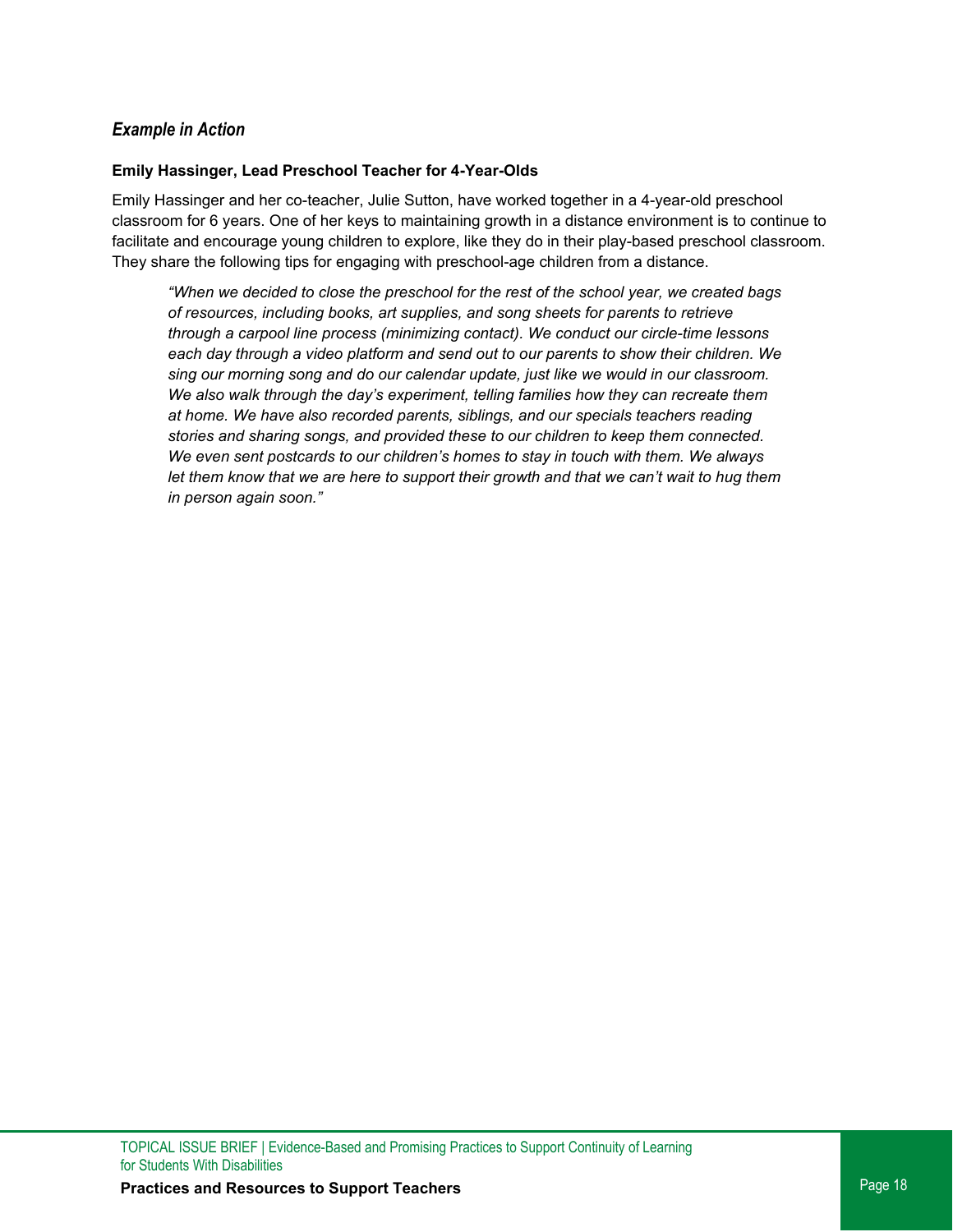### *Example in Action*

#### **Emily Hassinger, Lead Preschool Teacher for 4-Year-Olds**

Emily Hassinger and her co-teacher, Julie Sutton, have worked together in a 4-year-old preschool classroom for 6 years. One of her keys to maintaining growth in a distance environment is to continue to facilitate and encourage young children to explore, like they do in their play-based preschool classroom. They share the following tips for engaging with preschool-age children from a distance.

*"When we decided to close the preschool for the rest of the school year, we created bags of resources, including books, art supplies, and song sheets for parents to retrieve through a carpool line process (minimizing contact). We conduct our circle-time lessons each day through a video platform and send out to our parents to show their children. We sing our morning song and do our calendar update, just like we would in our classroom. We also walk through the day's experiment, telling families how they can recreate them at home. We have also recorded parents, siblings, and our specials teachers reading stories and sharing songs, and provided these to our children to keep them connected. We even sent postcards to our children's homes to stay in touch with them. We always let them know that we are here to support their growth and that we can't wait to hug them in person again soon."*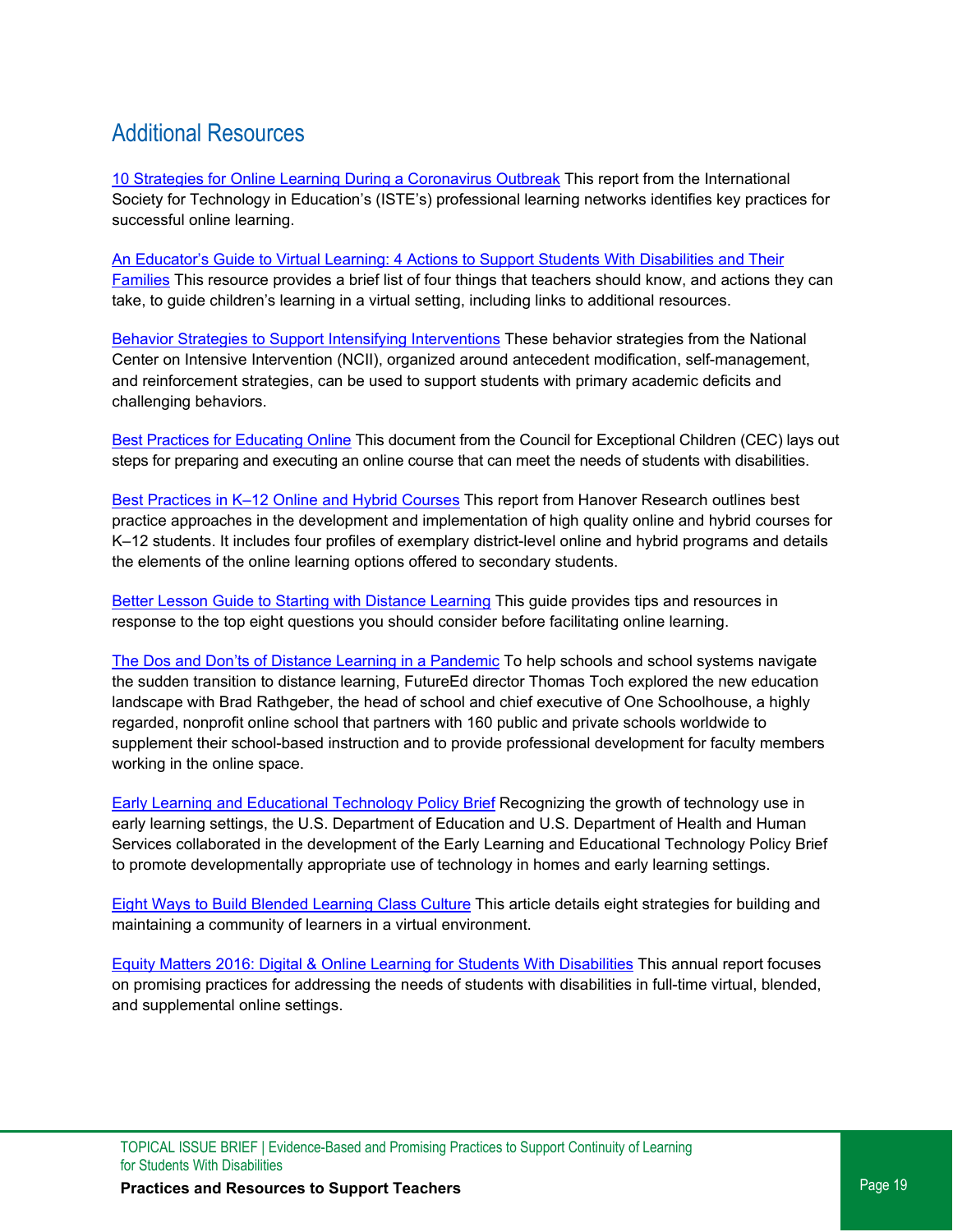# Additional Resources

[10 Strategies for Online Learning During a Coronavirus Outbreak](https://www.iste.org/explore/10-strategies-online-learning-during-coronavirus-outbreak) This report from the International Society for Technology in Education's (ISTE's) professional learning networks identifies key practices for successful online learning.

[An Educator's Guide to Virtual Learning: 4 Actions to Support Students With Disabilities and Their](https://www.ncld.org/wp-content/uploads/2020/03/An-Educators-Guide-to-Virtual-Learning-4-Actions-to-Support-Students-With-Disabilities-and-Their-Families.pdf)  [Families](https://www.ncld.org/wp-content/uploads/2020/03/An-Educators-Guide-to-Virtual-Learning-4-Actions-to-Support-Students-With-Disabilities-and-Their-Families.pdf) This resource provides a brief list of four things that teachers should know, and actions they can take, to guide children's learning in a virtual setting, including links to additional resources.

[Behavior Strategies to Support Intensifying Interventions](https://intensiveintervention.org/intervention-resources/behavior-strategies-support-intensifying-interventions) These behavior strategies from the National Center on Intensive Intervention (NCII), organized around antecedent modification, self-management, and reinforcement strategies, can be used to support students with primary academic deficits and challenging behaviors.

[Best Practices for Educating Online](https://cec.sped.org/%7E/media/Files/Resources/Best%20Practices%20for%20Educating%20Online.pdf) This document from the Council for Exceptional Children (CEC) lays out steps for preparing and executing an online course that can meet the needs of students with disabilities.

[Best Practices in K–12 Online and Hybrid Courses](https://www.gssaweb.org/wp-content/uploads/2016/04/Best-Practices-in-K-12-Online-and-Hybrid-Courses.pdf) This report from Hanover Research outlines best practice approaches in the development and implementation of high quality online and hybrid courses for K–12 students. It includes four profiles of exemplary district-level online and hybrid programs and details the elements of the online learning options offered to secondary students.

[Better Lesson Guide to Starting with Distance Learning](https://info.betterlesson.com/hubfs/BetterLesson%20Guide%20to%20Getting%20Started%20with%20Distance%20Learning.pdf?hsCtaTracking=bc31ea6b-3bf3-4bc3-b9f7-953b600f9657%7C6e50d44f-536d-4144-b1e8-edf4fcae9875) This guide provides tips and resources in response to the top eight questions you should consider before facilitating online learning.

[The Dos and Don'ts of Distance Learning in a Pandemic](https://www.educationnext.org/dos-and-donts-distance-learning-pandemic-coronavirus-covid-19/) To help schools and school systems navigate the sudden transition to distance learning, FutureEd director Thomas Toch explored the new education landscape with Brad Rathgeber, the head of school and chief executive of One Schoolhouse, a highly regarded, nonprofit online school that partners with 160 public and private schools worldwide to supplement their school-based instruction and to provide professional development for faculty members working in the online space.

[Early Learning and Educational Technology Policy Brief](https://tech.ed.gov/earlylearning/) Recognizing the growth of technology use in early learning settings, the U.S. Department of Education and U.S. Department of Health and Human Services collaborated in the development of the Early Learning and Educational Technology Policy Brief to promote developmentally appropriate use of technology in homes and early learning settings.

[Eight Ways to Build Blended Learning Class Culture](https://www.edsurge.com/news/2014-05-15-eight-ways-to-build-blended-learning-class-culture) This article details eight strategies for building and maintaining a community of learners in a virtual environment.

Equity Matters 2016: Digital & Online [Learning for Students With Disabilities](http://www.centerononlinelearning.res.ku.edu/wp-content/uploads/2017/04/EquityMatters2016Final.pdf) This annual report focuses on promising practices for addressing the needs of students with disabilities in full-time virtual, blended, and supplemental online settings.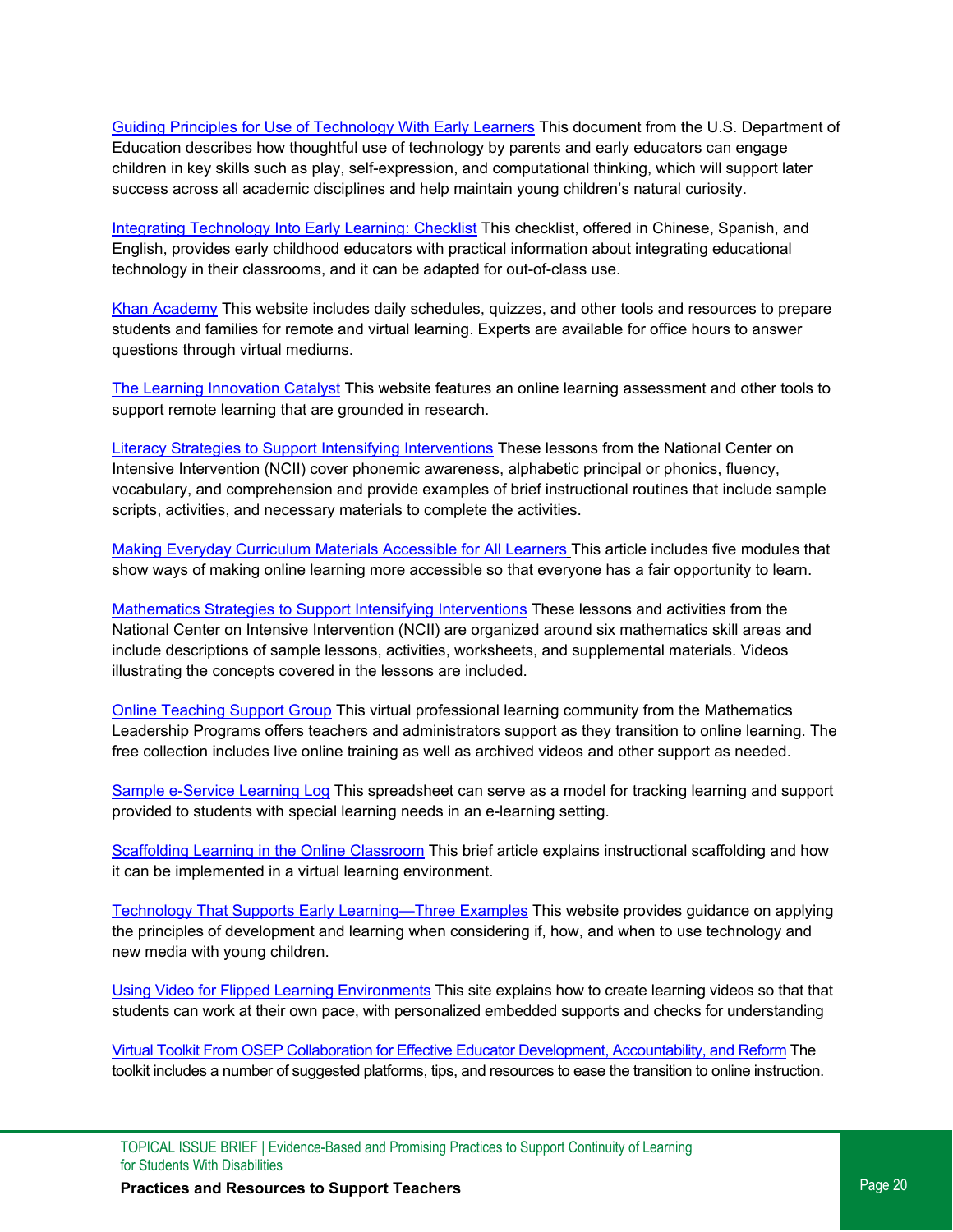[Guiding Principles for Use of Technology With Early Learners](https://tech.ed.gov/earlylearning/principles/) This document from the U.S. Department of Education describes how thoughtful use of technology by parents and early educators can engage children in key skills such as play, self-expression, and computational thinking, which will support later success across all academic disciplines and help maintain young children's natural curiosity.

[Integrating Technology Into Early Learning: Checklist](https://www.edc.org/integrating-technology-early-learning-checklist) This checklist, offered in Chinese, Spanish, and English, provides early childhood educators with practical information about integrating educational technology in their classrooms, and it can be adapted for out-of-class use.

[Khan Academy](https://khanacademy.zendesk.com/hc/en-us/articles/360040167432-How-can-Khan-Academy-be-used-for-remote-learning-during-school-closures-) This website includes daily schedules, quizzes, and other tools and resources to prepare students and families for remote and virtual learning. Experts are available for office hours to answer questions through virtual mediums.

[The Learning Innovation Catalyst](https://linclearning.com/coronavirus-resource-center/) This website features an online learning assessment and other tools to support remote learning that are grounded in research.

[Literacy Strategies to Support Intensifying Interventions](https://intensiveintervention.org/intervention-resources/literacy-strategies) These lessons from the National Center on Intensive Intervention (NCII) cover phonemic awareness, alphabetic principal or phonics, fluency, vocabulary, and comprehension and provide examples of brief instructional routines that include sample scripts, activities, and necessary materials to complete the activities.

[Making Everyday Curriculum Materials Accessible for All Learners](http://aem.cast.org/about/new-educator-training.html) This article includes five modules that show ways of making online learning more accessible so that everyone has a fair opportunity to learn.

[Mathematics Strategies to Support Intensifying Interventions](https://intensiveintervention.org/intervention-resources/mathematics-strategies-support-intensifying-interventions) These lessons and activities from the National Center on Intensive Intervention (NCII) are organized around six mathematics skill areas and include descriptions of sample lessons, activities, worksheets, and supplemental materials. Videos illustrating the concepts covered in the lessons are included.

[Online Teaching Support Group](http://mathleadership.org/free-online-teaching-support-group/) This virtual professional learning community from the Mathematics Leadership Programs offers teachers and administrators support as they transition to online learning. The free collection includes live online training as well as archived videos and other support as needed.

[Sample e-Service Learning Log](https://docs.google.com/spreadsheets/d/13JVVv7z6MxHwUYYJDCiEAAiFLVBBXIMXoG5hqwUOb9E/edit#gid=0) This spreadsheet can serve as a model for tracking learning and support provided to students with special learning needs in an e-learning setting.

Scaffolding [Learning in the Online Classroom](https://ctl.learninghouse.com/scaffolding-learning-in-the-online-classroom/) This brief article explains instructional scaffolding and how it can be implemented in a virtual learning environment.

[Technology That Supports Early Learning—Three Examples](https://www.naeyc.org/resources/blog/technology-supports-early-learning) This website provides guidance on applying the principles of development and learning when considering if, how, and when to use technology and new media with young children.

[Using Video for Flipped Learning Environments](https://betterlesson.com/strategy/292) This site explains how to create learning videos so that that students can work at their own pace, with personalized embedded supports and checks for understanding

[Virtual Toolkit From OSEP Collaboration for Effective Educator Development, Accountability, and Reform](https://ceedar.education.ufl.edu/about-us/) The toolkit includes a number of suggested platforms, tips, and resources to ease the transition to online instruction.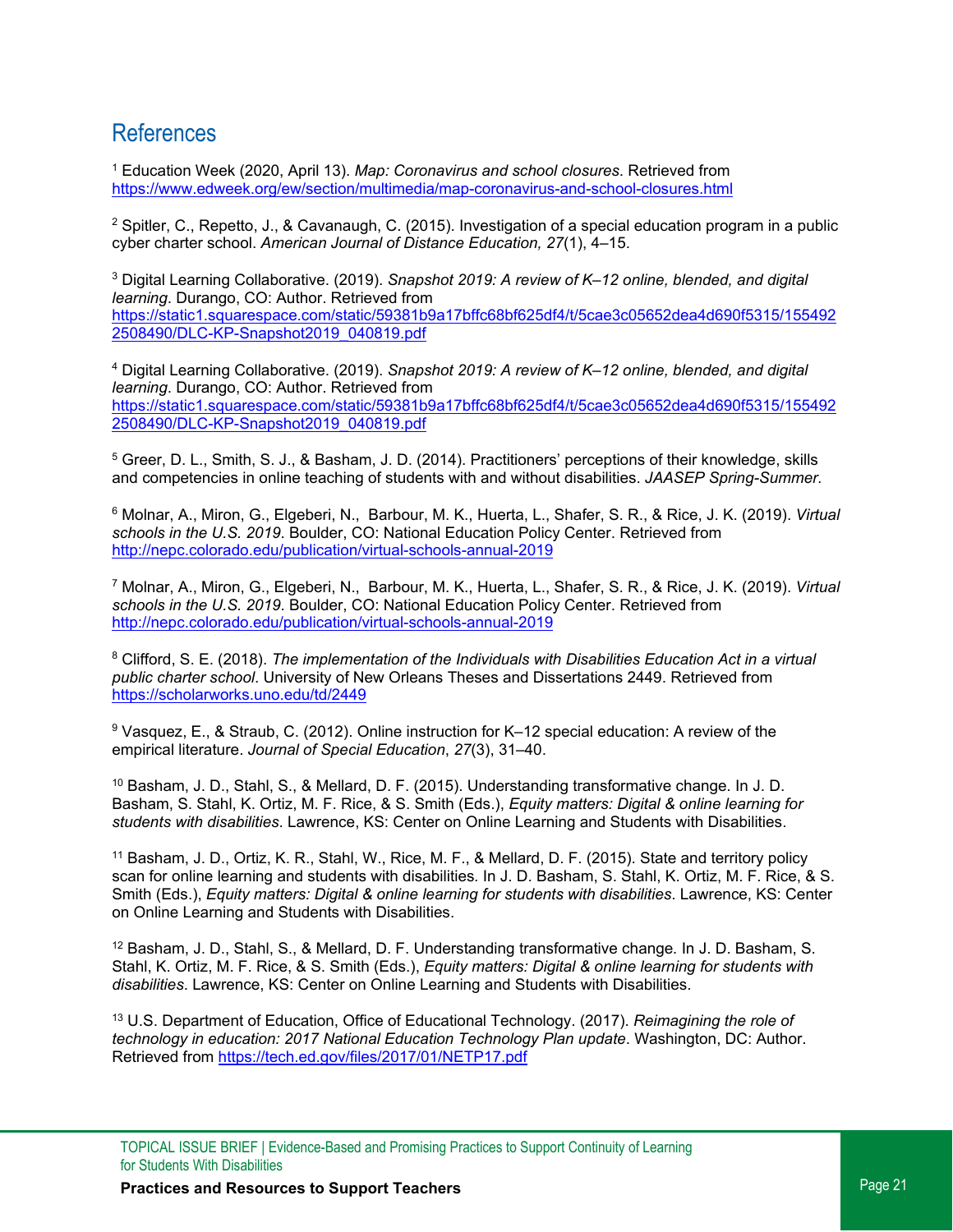## References

<span id="page-20-0"></span><sup>1</sup> Education Week (2020, April 13). *Map: Coronavirus and school closures*. Retrieved from <https://www.edweek.org/ew/section/multimedia/map-coronavirus-and-school-closures.html>

<span id="page-20-1"></span><sup>2</sup> Spitler, C., Repetto, J., & Cavanaugh, C. (2015). Investigation of a special education program in a public cyber charter school. *American Journal of Distance Education, 27*(1), 4–15.

<span id="page-20-2"></span><sup>3</sup> Digital Learning Collaborative. (2019). *Snapshot 2019: A review of K–12 online, blended, and digital learning*. Durango, CO: Author. Retrieved from [https://static1.squarespace.com/static/59381b9a17bffc68bf625df4/t/5cae3c05652dea4d690f5315/155492](https://static1.squarespace.com/static/59381b9a17bffc68bf625df4/t/5cae3c05652dea4d690f5315/1554922508490/DLC-KP-Snapshot2019_040819.pdf)  2508490/DLC-KP-Snapshot2019\_040819.pdf

<span id="page-20-3"></span><sup>4</sup> Digital Learning Collaborative. (2019). *Snapshot 2019: A review of K–12 online, blended, and digital learning*. Durango, CO: Author. Retrieved from [https://static1.squarespace.com/static/59381b9a17bffc68bf625df4/t/5cae3c05652dea4d690f5315/155492](https://static1.squarespace.com/static/59381b9a17bffc68bf625df4/t/5cae3c05652dea4d690f5315/1554922508490/DLC-KP-Snapshot2019_040819.pdf)  2508490/DLC-KP-Snapshot2019\_040819.pdf

<span id="page-20-4"></span><sup>5</sup> Greer, D. L., Smith, S. J., & Basham, J. D. (2014). Practitioners' perceptions of their knowledge, skills and competencies in online teaching of students with and without disabilities. *JAASEP Spring-Summer.*

<span id="page-20-5"></span><sup>6</sup> Molnar, A., Miron, G., Elgeberi, N., Barbour, M. K., Huerta, L., Shafer, S. R., & Rice, J. K. (2019). *Virtual schools in the U.S. 2019*. Boulder, CO: National Education Policy Center. Retrieved from <http://nepc.colorado.edu/publication/virtual-schools-annual-2019>

<span id="page-20-6"></span><sup>7</sup> Molnar, A., Miron, G., Elgeberi, N., Barbour, M. K., Huerta, L., Shafer, S. R., & Rice, J. K. (2019). *Virtual schools in the U.S. 2019*. Boulder, CO: National Education Policy Center. Retrieved from <http://nepc.colorado.edu/publication/virtual-schools-annual-2019>

<span id="page-20-7"></span><sup>8</sup> Clifford, S. E. (2018). *The implementation of the Individuals with Disabilities Education Act in a virtual public charter school*. University of New Orleans Theses and Dissertations 2449. Retrieved from <https://scholarworks.uno.edu/td/2449>

<span id="page-20-8"></span><sup>9</sup> Vasquez, E., & Straub, C. (2012). Online instruction for K–12 special education: A review of the empirical literature. *Journal of Special Education*, *27*(3), 31–40.

<span id="page-20-9"></span><sup>10</sup> Basham, J. D., Stahl, S., & Mellard, D. F. (2015). Understanding transformative change*.* In J. D. Basham, S. Stahl, K. Ortiz, M. F. Rice, & S. Smith (Eds.), *Equity matters: Digital & online learning for students with disabilities*. Lawrence, KS: Center on Online Learning and Students with Disabilities.

<span id="page-20-10"></span><sup>11</sup> Basham, J. D., Ortiz, K. R., Stahl, W., Rice, M. F., & Mellard, D. F. (2015). State and territory policy scan for online learning and students with disabilities*.* In J. D. Basham, S. Stahl, K. Ortiz, M. F. Rice, & S. Smith (Eds.), *Equity matters: Digital & online learning for students with disabilities*. Lawrence, KS: Center on Online Learning and Students with Disabilities.

<span id="page-20-11"></span><sup>12</sup> Basham, J. D., Stahl, S., & Mellard, D. F. Understanding transformative change*.* In J. D. Basham, S. Stahl, K. Ortiz, M. F. Rice, & S. Smith (Eds.), *Equity matters: Digital & online learning for students with disabilities*. Lawrence, KS: Center on Online Learning and Students with Disabilities.

<span id="page-20-12"></span><sup>13</sup> U.S. Department of Education, Office of Educational Technology. (2017). *Reimagining the role of technology in education: 2017 National Education Technology Plan update*. Washington, DC: Author. Retrieved from<https://tech.ed.gov/files/2017/01/NETP17.pdf>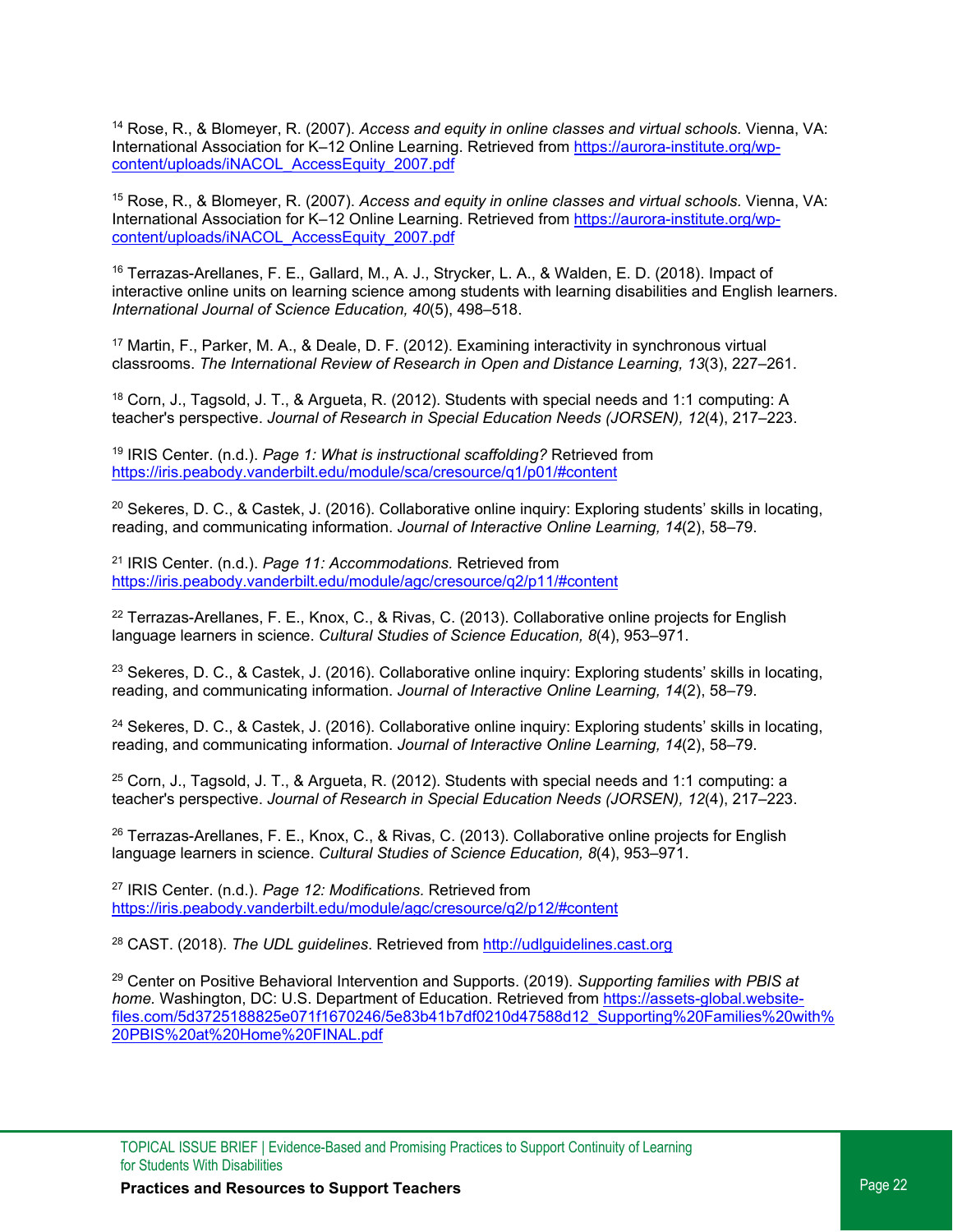<span id="page-21-0"></span><sup>14</sup> Rose, R., & Blomeyer, R. (2007). *Access and equity in online classes and virtual schools.* Vienna, VA: International Association for K-12 Online Learning. Retrieved fro[m https://aurora-institute.org/wp](https://aurora-institute.org/wp-content/uploads/iNACOL_AccessEquity_2007.pdf)[content/uploads/iNACOL\\_AccessEquity\\_2007.pdf](https://aurora-institute.org/wp-content/uploads/iNACOL_AccessEquity_2007.pdf)

<span id="page-21-1"></span><sup>15</sup> Rose, R., & Blomeyer, R. (2007). *Access and equity in online classes and virtual schools.* Vienna, VA: International Association for K-12 Online Learning. Retrieved fro[m https://aurora-institute.org/wp](https://aurora-institute.org/wp-content/uploads/iNACOL_AccessEquity_2007.pdf)[content/uploads/iNACOL\\_AccessEquity\\_2007.pdf](https://aurora-institute.org/wp-content/uploads/iNACOL_AccessEquity_2007.pdf)

<span id="page-21-2"></span><sup>16</sup> Terrazas-Arellanes, F. E., Gallard, M., A. J., Strycker, L. A., & Walden, E. D. (2018). Impact of interactive online units on learning science among students with learning disabilities and English learners. *International Journal of Science Education, 40*(5), 498–518.

<span id="page-21-3"></span><sup>17</sup> Martin, F., Parker, M. A., & Deale, D. F. (2012). Examining interactivity in synchronous virtual classrooms. *The International Review of Research in Open and Distance Learning, 13*(3), 227–261.

<span id="page-21-4"></span><sup>18</sup> Corn, J., Tagsold, J. T., & Argueta, R. (2012). Students with special needs and 1:1 computing: A teacher's perspective. *Journal of Research in Special Education Needs (JORSEN), 12*(4), 217–223.

<span id="page-21-5"></span><sup>19</sup> IRIS Center. (n.d.). *Page 1: What is instructional scaffolding?* Retrieved from <https://iris.peabody.vanderbilt.edu/module/sca/cresource/q1/p01/#content>

<span id="page-21-6"></span><sup>20</sup> Sekeres, D. C., & Castek, J. (2016). Collaborative online inquiry: Exploring students' skills in locating, reading, and communicating information. *Journal of Interactive Online Learning, 14*(2), 58–79.

<span id="page-21-7"></span><sup>21</sup> IRIS Center. (n.d.). *Page 11: Accommodations.* Retrieved from <https://iris.peabody.vanderbilt.edu/module/agc/cresource/q2/p11/#content>

<span id="page-21-8"></span><sup>22</sup> Terrazas-Arellanes, F. E., Knox, C., & Rivas, C. (2013). Collaborative online projects for English language learners in science. *Cultural Studies of Science Education, 8*(4), 953–971.

<span id="page-21-9"></span><sup>23</sup> Sekeres, D. C., & Castek, J. (2016). Collaborative online inquiry: Exploring students' skills in locating, reading, and communicating information. *Journal of Interactive Online Learning, 14*(2), 58–79.

<span id="page-21-10"></span><sup>24</sup> Sekeres, D. C., & Castek, J. (2016). Collaborative online inquiry: Exploring students' skills in locating, reading, and communicating information. *Journal of Interactive Online Learning, 14*(2), 58–79.

<span id="page-21-11"></span> $25$  Corn, J., Tagsold, J. T., & Argueta, R. (2012). Students with special needs and 1:1 computing: a teacher's perspective. *Journal of Research in Special Education Needs (JORSEN), 12*(4), 217–223.

<span id="page-21-12"></span><sup>26</sup> Terrazas-Arellanes, F. E., Knox, C., & Rivas, C. (2013). Collaborative online projects for English language learners in science. *Cultural Studies of Science Education, 8*(4), 953–971.

<span id="page-21-13"></span><sup>27</sup> IRIS Center. (n.d.). *Page 12: Modifications.* Retrieved from <https://iris.peabody.vanderbilt.edu/module/agc/cresource/q2/p12/#content>

<span id="page-21-14"></span><sup>28</sup> CAST. (2018). *The UDL guidelines*. Retrieved from [http://udlguidelines.cast.org](http://udlguidelines.cast.org/)

<span id="page-21-15"></span><sup>29</sup> Center on Positive Behavioral Intervention and Supports. (2019). *Supporting families with PBIS at home.* Washington, DC: U.S. Department of Education. Retrieved from [https://assets-global.website](https://assets-global.website-files.com/5d3725188825e071f1670246/5e83b41b7df0210d47588d12_Supporting%20Families%20with%20PBIS%20at%20Home%20FINAL.pdf)[files.com/5d3725188825e071f1670246/5e83b41b7df0210d47588d12\\_Supporting%20Families%20with%](https://assets-global.website-files.com/5d3725188825e071f1670246/5e83b41b7df0210d47588d12_Supporting%20Families%20with%20PBIS%20at%20Home%20FINAL.pdf)  20PBIS%20at%20Home%20FINAL.pdf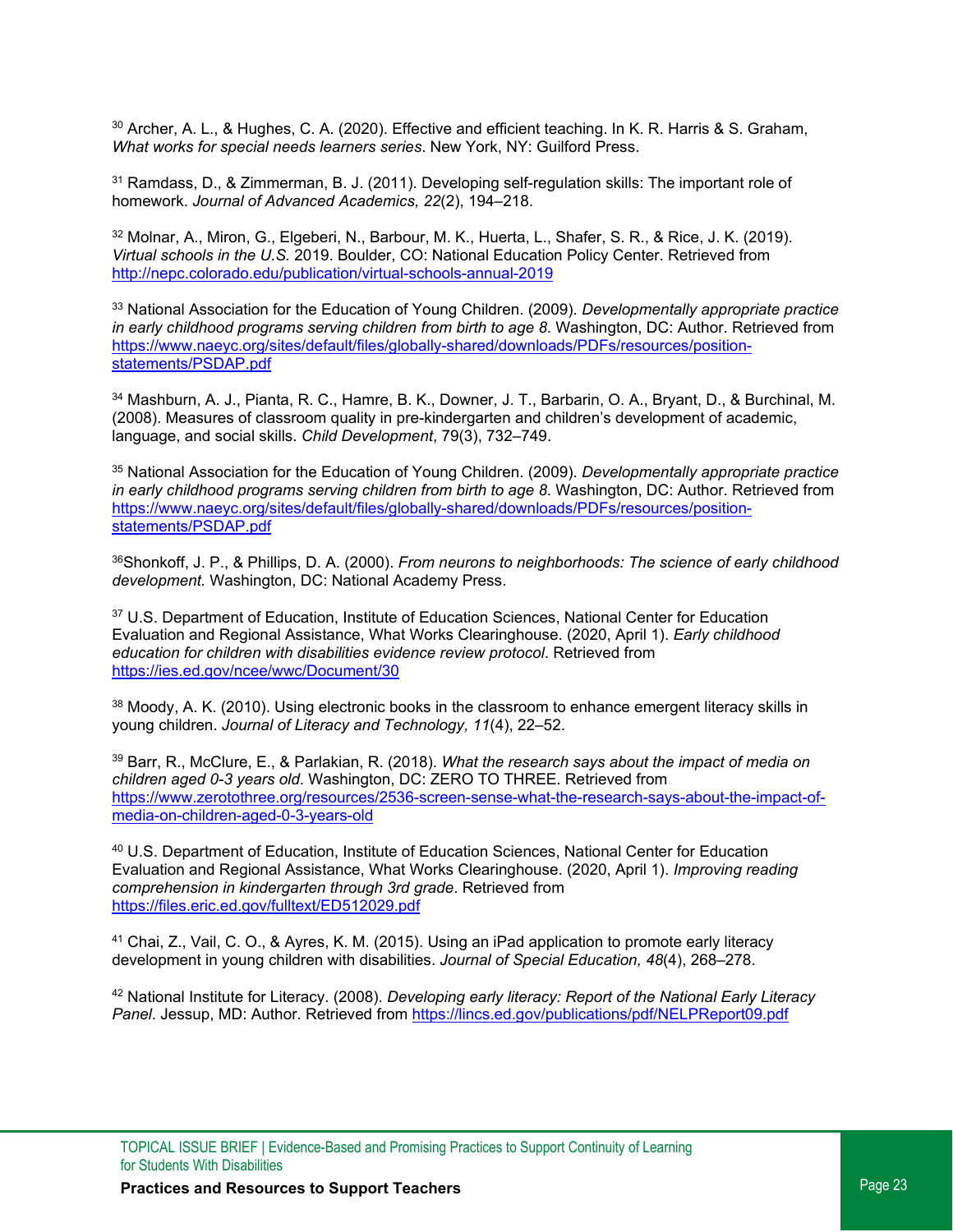<span id="page-22-0"></span><sup>30</sup> Archer, A. L., & Hughes, C. A. (2020). Effective and efficient teaching. In K. R. Harris & S. Graham, *What works for special needs learners series*. New York, NY: Guilford Press.

<span id="page-22-1"></span><sup>31</sup> Ramdass, D., & Zimmerman, B. J. (2011). Developing self-regulation skills: The important role of homework. *Journal of Advanced Academics, 22*(2), 194–218.

<span id="page-22-2"></span><sup>32</sup> Molnar, A., Miron, G., Elgeberi, N., Barbour, M. K., Huerta, L., Shafer, S. R., & Rice, J. K. (2019). *Virtual schools in the U.S.* 2019. Boulder, CO: National Education Policy Center. Retrieved from <http://nepc.colorado.edu/publication/virtual-schools-annual-2019>

<span id="page-22-3"></span><sup>33</sup> National Association for the Education of Young Children. (2009). *Developmentally appropriate practice in early childhood programs serving children from birth to age 8*. Washington, DC: Author. Retrieved from [https://www.naeyc.org/sites/default/files/globally-shared/downloads/PDFs/resources/position](https://www.naeyc.org/sites/default/files/globally-shared/downloads/PDFs/resources/position-statements/PSDAP.pdf)statements/PSDAP.pdf

<span id="page-22-4"></span><sup>34</sup> Mashburn, A. J., Pianta, R. C., Hamre, B. K., Downer, J. T., Barbarin, O. A., Bryant, D., & Burchinal, M. (2008). Measures of classroom quality in pre-kindergarten and children's development of academic, language, and social skills. *Child Development*, 79(3), 732–749.

<span id="page-22-5"></span><sup>35</sup> National Association for the Education of Young Children. (2009). *Developmentally appropriate practice in early childhood programs serving children from birth to age 8*. Washington, DC: Author. Retrieved from [https://www.naeyc.org/sites/default/files/globally-shared/downloads/PDFs/resources/position](https://www.naeyc.org/sites/default/files/globally-shared/downloads/PDFs/resources/position-statements/PSDAP.pdf)statements/PSDAP.pdf

<span id="page-22-6"></span>36Shonkoff, J. P., & Phillips, D. A. (2000). *From neurons to neighborhoods: The science of early childhood development.* Washington, DC: National Academy Press.

<span id="page-22-7"></span><sup>37</sup> U.S. Department of Education, Institute of Education Sciences, National Center for Education Evaluation and Regional Assistance, What Works Clearinghouse. (2020, April 1). *Early childhood education for children with disabilities evidence review protocol*. Retrieved from <https://ies.ed.gov/ncee/wwc/Document/30>

<span id="page-22-8"></span>38 Moody, A. K. (2010). Using electronic books in the classroom to enhance emergent literacy skills in young children. *Journal of Literacy and Technology, 11*(4), 22–52.

<span id="page-22-9"></span><sup>39</sup> Barr, R., McClure, E., & Parlakian, R. (2018). *What the research says about the impact of media on children aged 0-3 years old*. Washington, DC: ZERO TO THREE. Retrieved from [https://www.zerotothree.org/resources/2536-screen-sense-what-the-research-says-about-the-impact-of](https://www.zerotothree.org/resources/2536-screen-sense-what-the-research-says-about-the-impact-of-media-on-children-aged-0-3-years-old)media-on-children-aged-0-3-years-old

<span id="page-22-10"></span><sup>40</sup> U.S. Department of Education, Institute of Education Sciences, National Center for Education Evaluation and Regional Assistance, What Works Clearinghouse. (2020, April 1). *Improving reading comprehension in kindergarten through 3rd grade*. Retrieved from <https://files.eric.ed.gov/fulltext/ED512029.pdf>

<span id="page-22-11"></span><sup>41</sup> Chai, Z., Vail, C. O., & Ayres, K. M. (2015). Using an iPad application to promote early literacy development in young children with disabilities. *Journal of Special Education, 48*(4), 268–278.

<span id="page-22-12"></span><sup>42</sup> National Institute for Literacy. (2008). *Developing early literacy: Report of the National Early Literacy Panel*. Jessup, MD: Author. Retrieved from<https://lincs.ed.gov/publications/pdf/NELPReport09.pdf>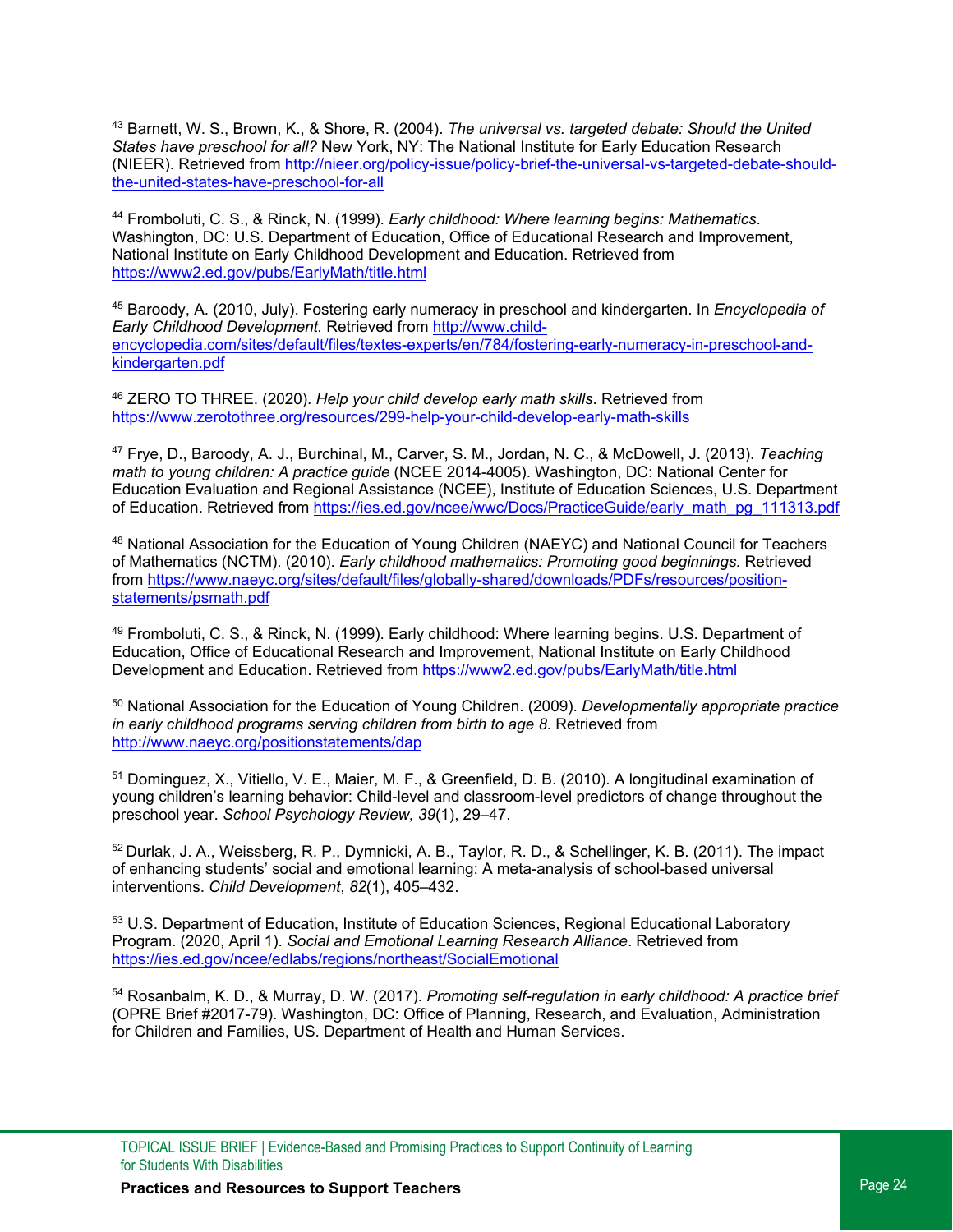<span id="page-23-11"></span><span id="page-23-0"></span><sup>43</sup> Barnett, W. S., Brown, K., & Shore, R. (2004). *The universal vs. targeted debate: Should the United States have preschool for all?* New York, NY: The National Institute for Early Education Research (NIEER). Retrieved from [http://nieer.org/policy-issue/policy-brief-the-universal-vs-targeted-debate-should](http://nieer.org/policy-issue/policy-brief-the-universal-vs-targeted-debate-should-the-united-states-have-preschool-for-all)[the-united-states-have-preschool-for-all](http://nieer.org/policy-issue/policy-brief-the-universal-vs-targeted-debate-should-the-united-states-have-preschool-for-all)

<span id="page-23-1"></span><sup>44</sup> Fromboluti, C. S., & Rinck, N. (1999). *Early childhood: Where learning begins: Mathematics*. Washington, DC: U.S. Department of Education, Office of Educational Research and Improvement, National Institute on Early Childhood Development and Education. Retrieved from <https://www2.ed.gov/pubs/EarlyMath/title.html>

<span id="page-23-2"></span><sup>45</sup> Baroody, A. (2010, July). Fostering early numeracy in preschool and kindergarten. In *Encyclopedia of Early Childhood Development.* Retrieved from [http://www.child](http://www.child-encyclopedia.com/sites/default/files/textes-experts/en/784/fostering-early-numeracy-in-preschool-and-kindergarten.pdf)[encyclopedia.com/sites/default/files/textes-experts/en/784/fostering-early-numeracy-in-preschool-and](http://www.child-encyclopedia.com/sites/default/files/textes-experts/en/784/fostering-early-numeracy-in-preschool-and-kindergarten.pdf)kindergarten.pdf

<span id="page-23-3"></span><sup>46</sup> ZERO TO THREE. (2020). *Help your child develop early math skills*. Retrieved from <https://www.zerotothree.org/resources/299-help-your-child-develop-early-math-skills>

<span id="page-23-4"></span><sup>47</sup> Frye, D., Baroody, A. J., Burchinal, M., Carver, S. M., Jordan, N. C., & McDowell, J. (2013). *Teaching math to young children: A practice guide* (NCEE 2014-4005). Washington, DC: National Center for Education Evaluation and Regional Assistance (NCEE), Institute of Education Sciences, U.S. Department of Education. Retrieved from [https://ies.ed.gov/ncee/wwc/Docs/PracticeGuide/early\\_math\\_pg\\_111313.pdf](https://ies.ed.gov/ncee/wwc/Docs/PracticeGuide/early_math_pg_111313.pdf)

<span id="page-23-5"></span>48 National Association for the Education of Young Children (NAEYC) and National Council for Teachers of Mathematics (NCTM). (2010). *Early childhood mathematics: Promoting good beginnings.* Retrieved fro[m https://www.naeyc.org/sites/default/files/globally-shared/downloads/PDFs/resources/position](https://www.naeyc.org/sites/default/files/globally-shared/downloads/PDFs/resources/position-statements/psmath.pdf)[statements/psmath.pdf](https://www.naeyc.org/sites/default/files/globally-shared/downloads/PDFs/resources/position-statements/psmath.pdf)

<span id="page-23-6"></span><sup>49</sup> Fromboluti, C. S., & Rinck, N. (1999). Early childhood: Where learning begins. U.S. Department of Education, Office of Educational Research and Improvement, National Institute on Early Childhood Development and Education. Retrieved from<https://www2.ed.gov/pubs/EarlyMath/title.html>

<span id="page-23-7"></span><sup>50</sup> National Association for the Education of Young Children. (2009). *Developmentally appropriate practice in early childhood programs serving children from birth to age 8*. Retrieved from <http://www.naeyc.org/positionstatements/dap>

<span id="page-23-8"></span><sup>51</sup> Dominguez, X., Vitiello, V. E., Maier, M. F., & Greenfield, D. B. (2010). A longitudinal examination of young children's learning behavior: Child-level and classroom-level predictors of change throughout the preschool year. *School Psychology Review, 39*(1), 29–47.

<span id="page-23-9"></span><sup>52</sup> Durlak, J. A., Weissberg, R. P., Dymnicki, A. B., Taylor, R. D., & Schellinger, K. B. (2011). The impact of enhancing students' social and emotional learning: A meta-analysis of school-based universal interventions. *Child Development*, *82*(1), 405–432.

<span id="page-23-10"></span>53 U.S. Department of Education, Institute of Education Sciences, Regional Educational Laboratory Program. (2020, April 1). *Social and Emotional Learning Research Alliance*. Retrieved from <https://ies.ed.gov/ncee/edlabs/regions/northeast/SocialEmotional>

<sup>54</sup> Rosanbalm, K. D., & Murray, D. W. (2017). *Promoting self-regulation in early childhood: A practice brief* (OPRE Brief #2017-79). Washington, DC: Office of Planning, Research, and Evaluation, Administration for Children and Families, US. Department of Health and Human Services.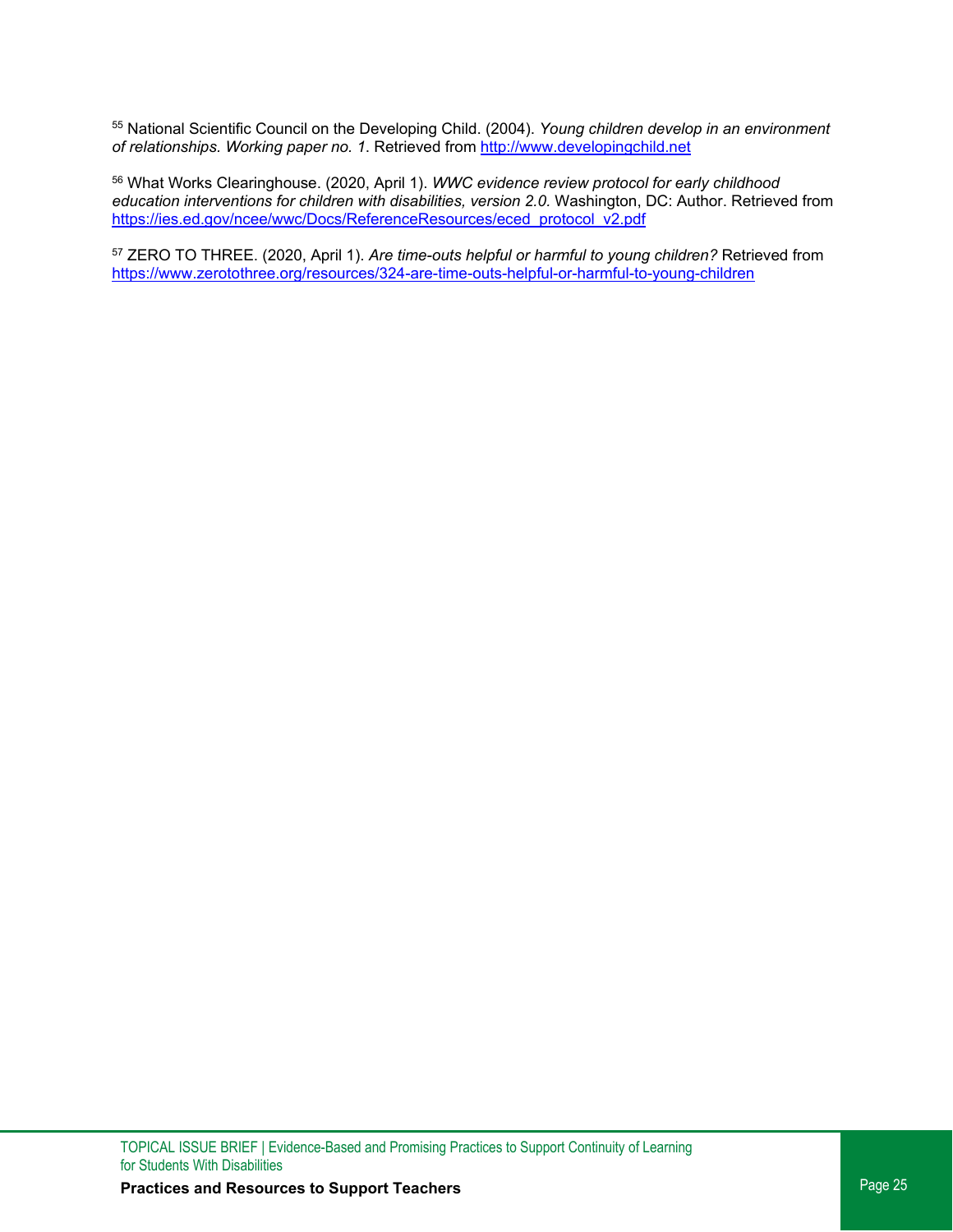<span id="page-24-0"></span><sup>55</sup> National Scientific Council on the Developing Child. (2004). *Young children develop in an environment of relationships. Working paper no. 1*. Retrieved from [http://www.developingchild.net](http://www.developingchild.net/)

<span id="page-24-1"></span><sup>56</sup> What Works Clearinghouse. (2020, April 1). *WWC evidence review protocol for early childhood education interventions for children with disabilities, version 2.0.* Washington, DC: Author. Retrieved from [https://ies.ed.gov/ncee/wwc/Docs/ReferenceResources/eced\\_protocol\\_v2.pdf](https://ies.ed.gov/ncee/wwc/Docs/ReferenceResources/eced_protocol_v2.pdf)

<span id="page-24-2"></span><sup>57</sup> ZERO TO THREE. (2020, April 1). *Are time-outs helpful or harmful to young children?* Retrieved from <https://www.zerotothree.org/resources/324-are-time-outs-helpful-or-harmful-to-young-children>